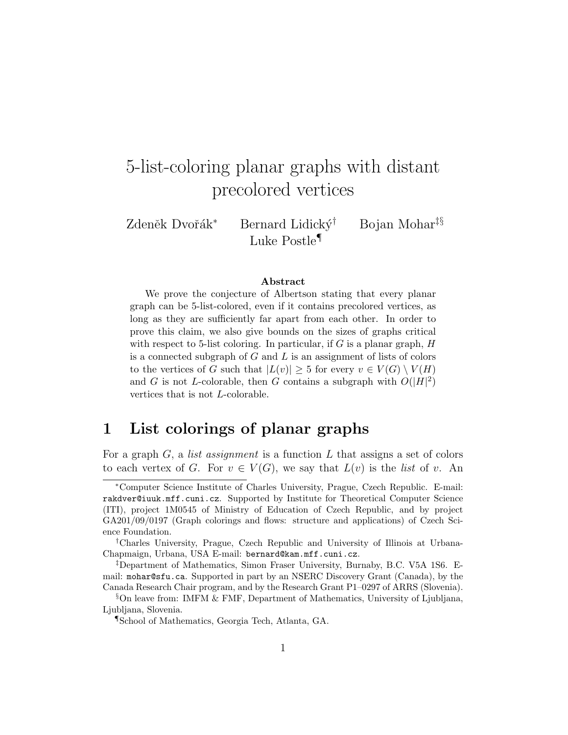# 5-list-coloring planar graphs with distant precolored vertices

Zdeněk Dvořák<sup>∗</sup> Bernard Lidický<sup>†</sup> Bojan Mohar<sup>‡§</sup> Luke Postle¶

#### Abstract

We prove the conjecture of Albertson stating that every planar graph can be 5-list-colored, even if it contains precolored vertices, as long as they are sufficiently far apart from each other. In order to prove this claim, we also give bounds on the sizes of graphs critical with respect to 5-list coloring. In particular, if  $G$  is a planar graph,  $H$ is a connected subgraph of  $G$  and  $L$  is an assignment of lists of colors to the vertices of G such that  $|L(v)| \geq 5$  for every  $v \in V(G) \setminus V(H)$ and G is not L-colorable, then G contains a subgraph with  $O(|H|^2)$ vertices that is not L-colorable.

### 1 List colorings of planar graphs

For a graph  $G$ , a *list assignment* is a function  $L$  that assigns a set of colors to each vertex of G. For  $v \in V(G)$ , we say that  $L(v)$  is the *list* of v. An

<sup>∗</sup>Computer Science Institute of Charles University, Prague, Czech Republic. E-mail: rakdver@iuuk.mff.cuni.cz. Supported by Institute for Theoretical Computer Science (ITI), project 1M0545 of Ministry of Education of Czech Republic, and by project GA201/09/0197 (Graph colorings and flows: structure and applications) of Czech Science Foundation.

<sup>†</sup>Charles University, Prague, Czech Republic and University of Illinois at Urbana-Chapmaign, Urbana, USA E-mail: bernard@kam.mff.cuni.cz.

<sup>‡</sup>Department of Mathematics, Simon Fraser University, Burnaby, B.C. V5A 1S6. Email: mohar@sfu.ca. Supported in part by an NSERC Discovery Grant (Canada), by the Canada Research Chair program, and by the Research Grant P1–0297 of ARRS (Slovenia).

 $\S$ On leave from: IMFM & FMF, Department of Mathematics, University of Ljubljana, Ljubljana, Slovenia.

<sup>¶</sup>School of Mathematics, Georgia Tech, Atlanta, GA.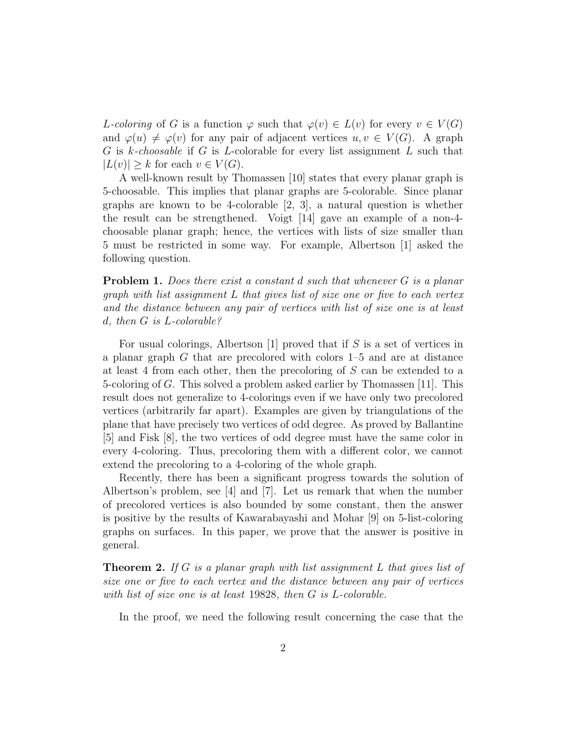L-coloring of G is a function  $\varphi$  such that  $\varphi(v) \in L(v)$  for every  $v \in V(G)$ and  $\varphi(u) \neq \varphi(v)$  for any pair of adjacent vertices  $u, v \in V(G)$ . A graph G is k-choosable if G is L-colorable for every list assignment L such that  $|L(v)| \geq k$  for each  $v \in V(G)$ .

A well-known result by Thomassen [10] states that every planar graph is 5-choosable. This implies that planar graphs are 5-colorable. Since planar graphs are known to be 4-colorable [2, 3], a natural question is whether the result can be strengthened. Voigt [14] gave an example of a non-4 choosable planar graph; hence, the vertices with lists of size smaller than 5 must be restricted in some way. For example, Albertson [1] asked the following question.

**Problem 1.** Does there exist a constant d such that whenever G is a planar graph with list assignment L that gives list of size one or five to each vertex and the distance between any pair of vertices with list of size one is at least d, then G is L-colorable?

For usual colorings, Albertson [1] proved that if  $S$  is a set of vertices in a planar graph G that are precolored with colors 1–5 and are at distance at least 4 from each other, then the precoloring of S can be extended to a 5-coloring of G. This solved a problem asked earlier by Thomassen [11]. This result does not generalize to 4-colorings even if we have only two precolored vertices (arbitrarily far apart). Examples are given by triangulations of the plane that have precisely two vertices of odd degree. As proved by Ballantine [5] and Fisk [8], the two vertices of odd degree must have the same color in every 4-coloring. Thus, precoloring them with a different color, we cannot extend the precoloring to a 4-coloring of the whole graph.

Recently, there has been a significant progress towards the solution of Albertson's problem, see [4] and [7]. Let us remark that when the number of precolored vertices is also bounded by some constant, then the answer is positive by the results of Kawarabayashi and Mohar [9] on 5-list-coloring graphs on surfaces. In this paper, we prove that the answer is positive in general.

**Theorem 2.** If G is a planar graph with list assignment L that gives list of size one or five to each vertex and the distance between any pair of vertices with list of size one is at least 19828, then G is L-colorable.

In the proof, we need the following result concerning the case that the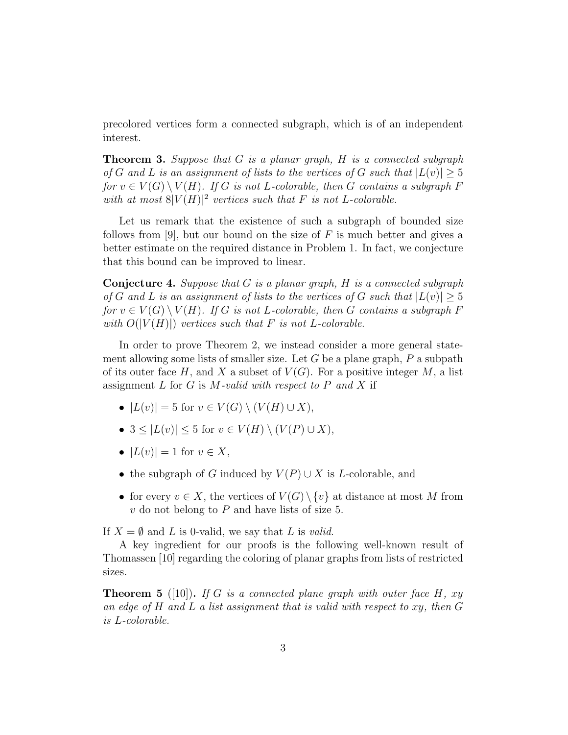precolored vertices form a connected subgraph, which is of an independent interest.

**Theorem 3.** Suppose that  $G$  is a planar graph,  $H$  is a connected subgraph of G and L is an assignment of lists to the vertices of G such that  $|L(v)| \geq 5$ for  $v \in V(G) \setminus V(H)$ . If G is not L-colorable, then G contains a subgraph F with at most  $8|V(H)|^2$  vertices such that F is not L-colorable.

Let us remark that the existence of such a subgraph of bounded size follows from [9], but our bound on the size of  $F$  is much better and gives a better estimate on the required distance in Problem 1. In fact, we conjecture that this bound can be improved to linear.

**Conjecture 4.** Suppose that  $G$  is a planar graph,  $H$  is a connected subgraph of G and L is an assignment of lists to the vertices of G such that  $|L(v)| \geq 5$ for  $v \in V(G) \setminus V(H)$ . If G is not L-colorable, then G contains a subgraph F with  $O(|V(H)|)$  vertices such that F is not L-colorable.

In order to prove Theorem 2, we instead consider a more general statement allowing some lists of smaller size. Let  $G$  be a plane graph,  $P$  a subpath of its outer face H, and X a subset of  $V(G)$ . For a positive integer M, a list assignment  $L$  for  $G$  is  $M$ -valid with respect to  $P$  and  $X$  if

- $|L(v)| = 5$  for  $v \in V(G) \setminus (V(H) \cup X)$ ,
- $3 \leq |L(v)| \leq 5$  for  $v \in V(H) \setminus (V(P) \cup X)$ ,
- $|L(v)| = 1$  for  $v \in X$ ,
- the subgraph of G induced by  $V(P) \cup X$  is L-colorable, and
- for every  $v \in X$ , the vertices of  $V(G) \setminus \{v\}$  at distance at most M from  $v$  do not belong to  $P$  and have lists of size 5.

If  $X = \emptyset$  and L is 0-valid, we say that L is valid.

A key ingredient for our proofs is the following well-known result of Thomassen [10] regarding the coloring of planar graphs from lists of restricted sizes.

**Theorem 5** ([10]). If G is a connected plane graph with outer face H,  $xy$ an edge of  $H$  and  $L$  a list assignment that is valid with respect to xy, then  $G$ is L-colorable.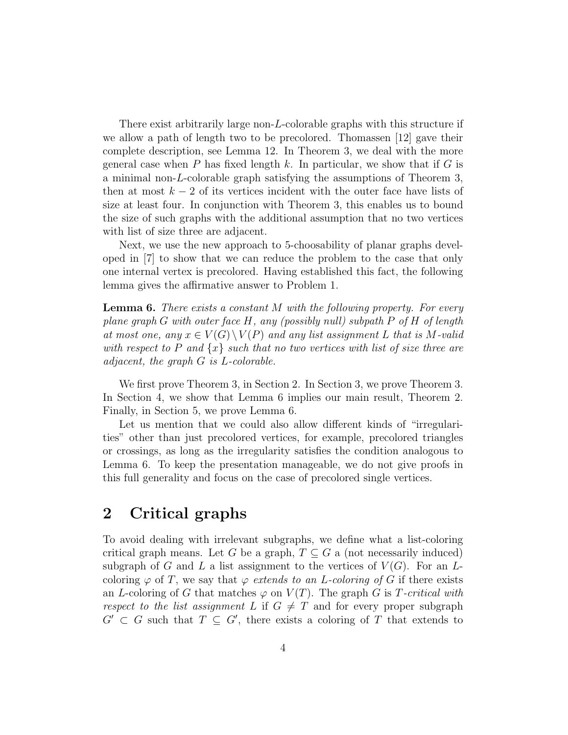There exist arbitrarily large non-L-colorable graphs with this structure if we allow a path of length two to be precolored. Thomassen [12] gave their complete description, see Lemma 12. In Theorem 3, we deal with the more general case when  $P$  has fixed length  $k$ . In particular, we show that if  $G$  is a minimal non-L-colorable graph satisfying the assumptions of Theorem 3, then at most  $k - 2$  of its vertices incident with the outer face have lists of size at least four. In conjunction with Theorem 3, this enables us to bound the size of such graphs with the additional assumption that no two vertices with list of size three are adjacent.

Next, we use the new approach to 5-choosability of planar graphs developed in [7] to show that we can reduce the problem to the case that only one internal vertex is precolored. Having established this fact, the following lemma gives the affirmative answer to Problem 1.

**Lemma 6.** There exists a constant M with the following property. For every plane graph G with outer face  $H$ , any (possibly null) subpath P of H of length at most one, any  $x \in V(G) \setminus V(P)$  and any list assignment L that is M-valid with respect to P and  $\{x\}$  such that no two vertices with list of size three are adjacent, the graph G is L-colorable.

We first prove Theorem 3, in Section 2. In Section 3, we prove Theorem 3. In Section 4, we show that Lemma 6 implies our main result, Theorem 2. Finally, in Section 5, we prove Lemma 6.

Let us mention that we could also allow different kinds of "irregularities" other than just precolored vertices, for example, precolored triangles or crossings, as long as the irregularity satisfies the condition analogous to Lemma 6. To keep the presentation manageable, we do not give proofs in this full generality and focus on the case of precolored single vertices.

### 2 Critical graphs

To avoid dealing with irrelevant subgraphs, we define what a list-coloring critical graph means. Let G be a graph,  $T \subseteq G$  a (not necessarily induced) subgraph of G and L a list assignment to the vertices of  $V(G)$ . For an Lcoloring  $\varphi$  of T, we say that  $\varphi$  extends to an L-coloring of G if there exists an L-coloring of G that matches  $\varphi$  on  $V(T)$ . The graph G is T-critical with respect to the list assignment L if  $G \neq T$  and for every proper subgraph  $G' \subset G$  such that  $T \subseteq G'$ , there exists a coloring of T that extends to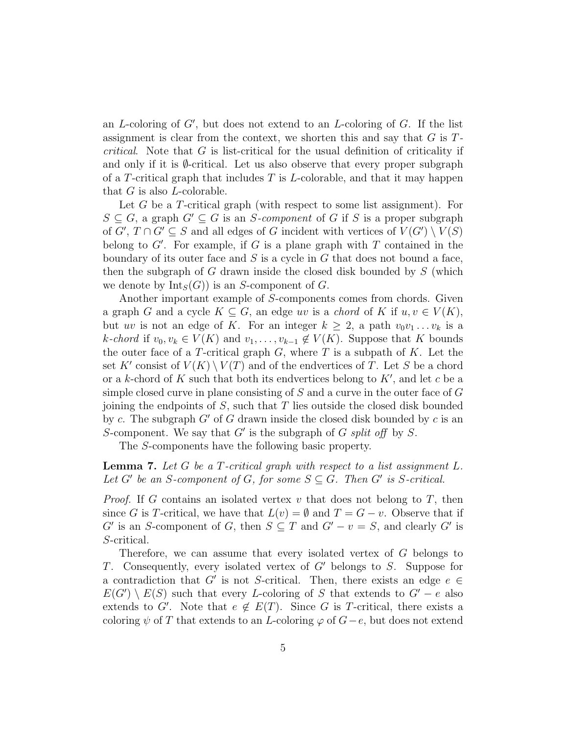an L-coloring of  $G'$ , but does not extend to an L-coloring of  $G$ . If the list assignment is clear from the context, we shorten this and say that  $G$  is  $T$ critical. Note that G is list-critical for the usual definition of criticality if and only if it is  $\emptyset$ -critical. Let us also observe that every proper subgraph of a T-critical graph that includes  $T$  is L-colorable, and that it may happen that  $G$  is also  $L$ -colorable.

Let G be a T-critical graph (with respect to some list assignment). For  $S \subseteq G$ , a graph  $G' \subseteq G$  is an S-component of G if S is a proper subgraph of  $G', T \cap G' \subseteq S$  and all edges of G incident with vertices of  $V(G') \setminus V(S)$ belong to  $G'$ . For example, if G is a plane graph with T contained in the boundary of its outer face and  $S$  is a cycle in  $G$  that does not bound a face, then the subgraph of G drawn inside the closed disk bounded by  $S$  (which we denote by  $Int_S(G)$  is an S-component of G.

Another important example of S-components comes from chords. Given a graph G and a cycle  $K \subseteq G$ , an edge uv is a chord of K if  $u, v \in V(K)$ , but uv is not an edge of K. For an integer  $k \geq 2$ , a path  $v_0v_1 \ldots v_k$  is a k-chord if  $v_0, v_k \in V(K)$  and  $v_1, \ldots, v_{k-1} \notin V(K)$ . Suppose that K bounds the outer face of a T-critical graph  $G$ , where  $T$  is a subpath of  $K$ . Let the set K' consist of  $V(K) \setminus V(T)$  and of the endvertices of T. Let S be a chord or a k-chord of K such that both its endvertices belong to  $K'$ , and let c be a simple closed curve in plane consisting of  $S$  and a curve in the outer face of  $G$ joining the endpoints of  $S$ , such that  $T$  lies outside the closed disk bounded by c. The subgraph  $G'$  of G drawn inside the closed disk bounded by c is an S-component. We say that  $G'$  is the subgraph of G split of  $f$  by S.

The S-components have the following basic property.

**Lemma 7.** Let G be a T-critical graph with respect to a list assignment  $L$ . Let G' be an S-component of G, for some  $S \subseteq G$ . Then G' is S-critical.

*Proof.* If G contains an isolated vertex v that does not belong to T, then since G is T-critical, we have that  $L(v) = \emptyset$  and  $T = G - v$ . Observe that if G' is an S-component of G, then  $S \subseteq T$  and  $G' - v = S$ , and clearly G' is S-critical.

Therefore, we can assume that every isolated vertex of G belongs to T. Consequently, every isolated vertex of  $G'$  belongs to S. Suppose for a contradiction that G' is not S-critical. Then, there exists an edge  $e \in$  $E(G') \setminus E(S)$  such that every L-coloring of S that extends to  $G' - e$  also extends to G'. Note that  $e \notin E(T)$ . Since G is T-critical, there exists a coloring  $\psi$  of T that extends to an L-coloring  $\varphi$  of  $G-e$ , but does not extend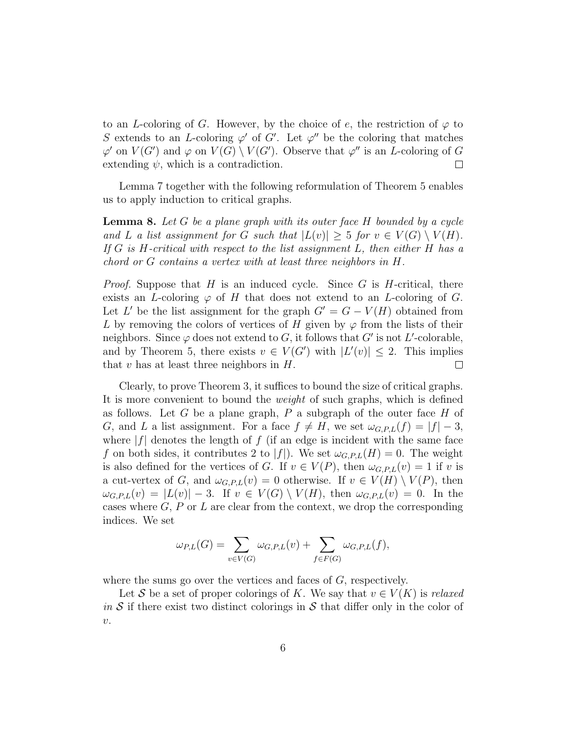to an L-coloring of G. However, by the choice of e, the restriction of  $\varphi$  to S extends to an L-coloring  $\varphi'$  of G'. Let  $\varphi''$  be the coloring that matches  $\varphi'$  on  $V(G')$  and  $\varphi$  on  $V(G) \setminus V(G')$ . Observe that  $\varphi''$  is an *L*-coloring of G extending  $\psi$ , which is a contradiction.  $\Box$ 

Lemma 7 together with the following reformulation of Theorem 5 enables us to apply induction to critical graphs.

**Lemma 8.** Let G be a plane graph with its outer face  $H$  bounded by a cycle and L a list assignment for G such that  $|L(v)| \geq 5$  for  $v \in V(G) \setminus V(H)$ . If  $G$  is H-critical with respect to the list assignment  $L$ , then either  $H$  has a chord or G contains a vertex with at least three neighbors in H.

*Proof.* Suppose that H is an induced cycle. Since G is H-critical, there exists an L-coloring  $\varphi$  of H that does not extend to an L-coloring of G. Let L' be the list assignment for the graph  $G' = G - V(H)$  obtained from L by removing the colors of vertices of H given by  $\varphi$  from the lists of their neighbors. Since  $\varphi$  does not extend to G, it follows that G' is not L'-colorable, and by Theorem 5, there exists  $v \in V(G')$  with  $|L'(v)| \leq 2$ . This implies that  $v$  has at least three neighbors in  $H$ .  $\Box$ 

Clearly, to prove Theorem 3, it suffices to bound the size of critical graphs. It is more convenient to bound the weight of such graphs, which is defined as follows. Let G be a plane graph,  $P$  a subgraph of the outer face  $H$  of G, and L a list assignment. For a face  $f \neq H$ , we set  $\omega_{G.P,L}(f) = |f| - 3$ , where  $|f|$  denotes the length of f (if an edge is incident with the same face f on both sides, it contributes 2 to |f|). We set  $\omega_{G.P,L}(H) = 0$ . The weight is also defined for the vertices of G. If  $v \in V(P)$ , then  $\omega_{G,P,L}(v) = 1$  if v is a cut-vertex of G, and  $\omega_{G.P,L}(v) = 0$  otherwise. If  $v \in V(H) \setminus V(P)$ , then  $\omega_{G,P,L}(v) = |L(v)| - 3$ . If  $v \in V(G) \setminus V(H)$ , then  $\omega_{G,P,L}(v) = 0$ . In the cases where  $G, P$  or  $L$  are clear from the context, we drop the corresponding indices. We set

$$
\omega_{P,L}(G) = \sum_{v \in V(G)} \omega_{G,P,L}(v) + \sum_{f \in F(G)} \omega_{G,P,L}(f),
$$

where the sums go over the vertices and faces of G, respectively.

Let S be a set of proper colorings of K. We say that  $v \in V(K)$  is relaxed in S if there exist two distinct colorings in S that differ only in the color of  $v.$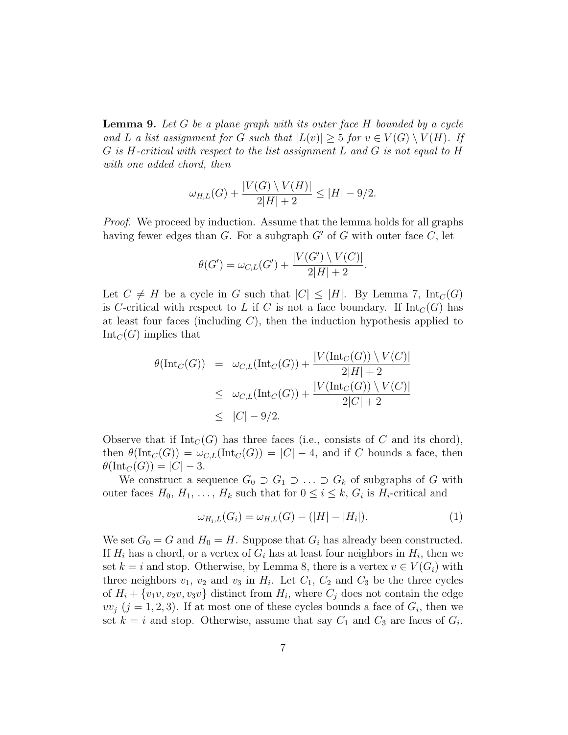**Lemma 9.** Let G be a plane graph with its outer face  $H$  bounded by a cycle and L a list assignment for G such that  $|L(v)| \geq 5$  for  $v \in V(G) \setminus V(H)$ . If G is H-critical with respect to the list assignment L and G is not equal to H with one added chord, then

$$
\omega_{H,L}(G) + \frac{|V(G) \setminus V(H)|}{2|H| + 2} \le |H| - 9/2.
$$

Proof. We proceed by induction. Assume that the lemma holds for all graphs having fewer edges than  $G$ . For a subgraph  $G'$  of  $G$  with outer face  $C$ , let

$$
\theta(G') = \omega_{C,L}(G') + \frac{|V(G') \setminus V(C)|}{2|H| + 2}
$$

.

Let  $C \neq H$  be a cycle in G such that  $|C| \leq |H|$ . By Lemma 7,  $\text{Int}_C(G)$ is C-critical with respect to L if C is not a face boundary. If  $\text{Int}_C(G)$  has at least four faces (including  $C$ ), then the induction hypothesis applied to  $Int_C(G)$  implies that

$$
\theta(\text{Int}_C(G)) = \omega_{C,L}(\text{Int}_C(G)) + \frac{|V(\text{Int}_C(G)) \setminus V(C)|}{2|H| + 2}
$$
  
\n
$$
\leq \omega_{C,L}(\text{Int}_C(G)) + \frac{|V(\text{Int}_C(G)) \setminus V(C)|}{2|C| + 2}
$$
  
\n
$$
\leq |C| - 9/2.
$$

Observe that if  $Int_C(G)$  has three faces (i.e., consists of C and its chord), then  $\theta(\text{Int}_C(G)) = \omega_{C,L}(\text{Int}_C(G)) = |C| - 4$ , and if C bounds a face, then  $\theta(\text{Int}_C(G)) = |C| - 3.$ 

We construct a sequence  $G_0 \supset G_1 \supset \ldots \supset G_k$  of subgraphs of G with outer faces  $H_0, H_1, \ldots, H_k$  such that for  $0 \leq i \leq k$ ,  $G_i$  is  $H_i$ -critical and

$$
\omega_{H_i, L}(G_i) = \omega_{H, L}(G) - (|H| - |H_i|). \tag{1}
$$

We set  $G_0 = G$  and  $H_0 = H$ . Suppose that  $G_i$  has already been constructed. If  $H_i$  has a chord, or a vertex of  $G_i$  has at least four neighbors in  $H_i$ , then we set  $k = i$  and stop. Otherwise, by Lemma 8, there is a vertex  $v \in V(G_i)$  with three neighbors  $v_1$ ,  $v_2$  and  $v_3$  in  $H_i$ . Let  $C_1$ ,  $C_2$  and  $C_3$  be the three cycles of  $H_i + \{v_1v, v_2v, v_3v\}$  distinct from  $H_i$ , where  $C_j$  does not contain the edge  $vv_j$  ( $j = 1, 2, 3$ ). If at most one of these cycles bounds a face of  $G_i$ , then we set  $k = i$  and stop. Otherwise, assume that say  $C_1$  and  $C_3$  are faces of  $G_i$ .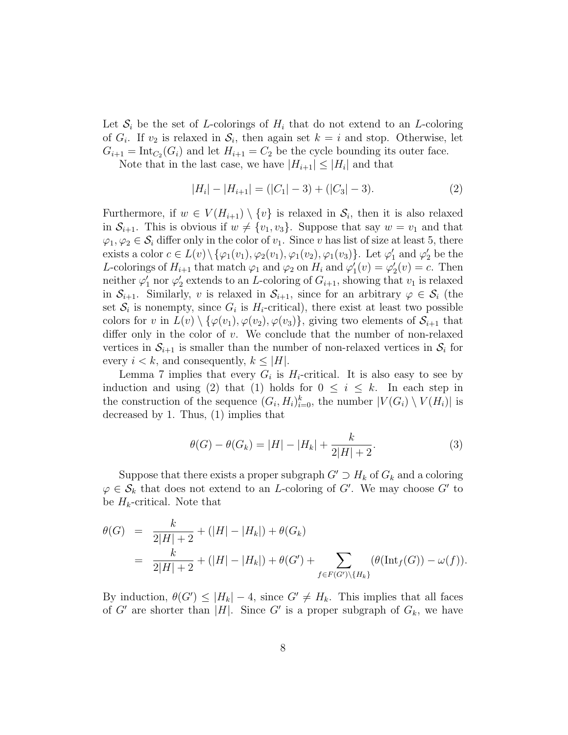Let  $S_i$  be the set of L-colorings of  $H_i$  that do not extend to an L-coloring of  $G_i$ . If  $v_2$  is relaxed in  $S_i$ , then again set  $k = i$  and stop. Otherwise, let  $G_{i+1} = \text{Int}_{C_2}(G_i)$  and let  $H_{i+1} = C_2$  be the cycle bounding its outer face.

Note that in the last case, we have  $|H_{i+1}| \leq |H_i|$  and that

$$
|H_i| - |H_{i+1}| = (|C_1| - 3) + (|C_3| - 3).
$$
 (2)

Furthermore, if  $w \in V(H_{i+1}) \setminus \{v\}$  is relaxed in  $\mathcal{S}_i$ , then it is also relaxed in  $S_{i+1}$ . This is obvious if  $w \neq \{v_1, v_3\}$ . Suppose that say  $w = v_1$  and that  $\varphi_1, \varphi_2 \in \mathcal{S}_i$  differ only in the color of  $v_1$ . Since v has list of size at least 5, there exists a color  $c \in L(v) \setminus {\varphi_1(v_1), \varphi_2(v_1), \varphi_1(v_2), \varphi_1(v_3)}$ . Let  $\varphi'_1$  and  $\varphi'_2$  be the L-colorings of  $H_{i+1}$  that match  $\varphi_1$  and  $\varphi_2$  on  $H_i$  and  $\varphi'_1(v) = \varphi'_2(v) = c$ . Then neither  $\varphi'_1$  nor  $\varphi'_2$  extends to an *L*-coloring of  $G_{i+1}$ , showing that  $v_1$  is relaxed in  $S_{i+1}$ . Similarly, v is relaxed in  $S_{i+1}$ , since for an arbitrary  $\varphi \in S_i$  (the set  $S_i$  is nonempty, since  $G_i$  is  $H_i$ -critical), there exist at least two possible colors for v in  $L(v) \setminus {\varphi(v_1), \varphi(v_2), \varphi(v_3)}$ , giving two elements of  $S_{i+1}$  that differ only in the color of  $v$ . We conclude that the number of non-relaxed vertices in  $S_{i+1}$  is smaller than the number of non-relaxed vertices in  $S_i$  for every  $i < k$ , and consequently,  $k \leq |H|$ .

Lemma 7 implies that every  $G_i$  is  $H_i$ -critical. It is also easy to see by induction and using (2) that (1) holds for  $0 \leq i \leq k$ . In each step in the construction of the sequence  $(G_i, H_i)_{i=0}^k$ , the number  $|V(G_i) \setminus V(H_i)|$  is decreased by 1. Thus, (1) implies that

$$
\theta(G) - \theta(G_k) = |H| - |H_k| + \frac{k}{2|H| + 2}.\tag{3}
$$

Suppose that there exists a proper subgraph  $G' \supset H_k$  of  $G_k$  and a coloring  $\varphi \in \mathcal{S}_k$  that does not extend to an *L*-coloring of G'. We may choose G' to be  $H_k$ -critical. Note that

$$
\begin{array}{lcl} \theta(G) & = & \frac{k}{2|H|+2} + (|H| - |H_k|) + \theta(G_k) \\ & = & \frac{k}{2|H|+2} + (|H| - |H_k|) + \theta(G') + \sum_{f \in F(G') \setminus \{H_k\}} (\theta(\text{Int}_f(G)) - \omega(f)). \end{array}
$$

By induction,  $\theta(G') \leq |H_k| - 4$ , since  $G' \neq H_k$ . This implies that all faces of G' are shorter than |H|. Since G' is a proper subgraph of  $G_k$ , we have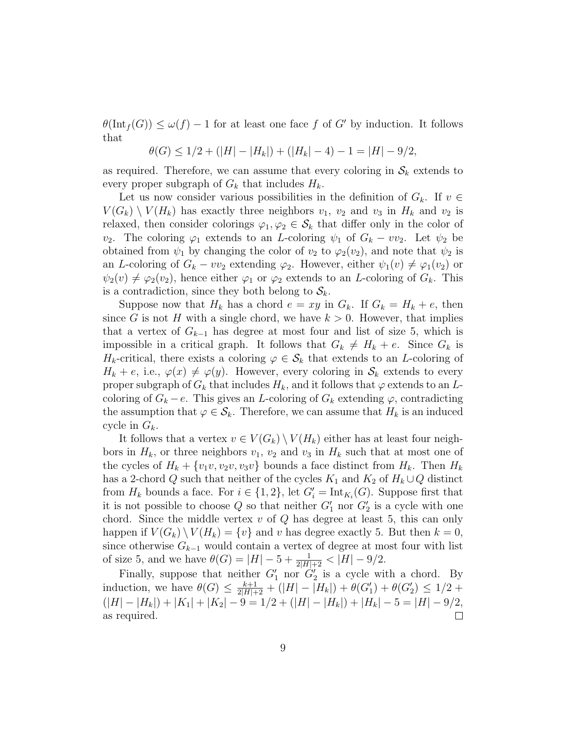$\theta(\text{Int}_f(G)) \leq \omega(f) - 1$  for at least one face f of G' by induction. It follows that

$$
\theta(G) \le 1/2 + (|H| - |H_k|) + (|H_k| - 4) - 1 = |H| - 9/2,
$$

as required. Therefore, we can assume that every coloring in  $\mathcal{S}_k$  extends to every proper subgraph of  $G_k$  that includes  $H_k$ .

Let us now consider various possibilities in the definition of  $G_k$ . If  $v \in$  $V(G_k) \setminus V(H_k)$  has exactly three neighbors  $v_1, v_2$  and  $v_3$  in  $H_k$  and  $v_2$  is relaxed, then consider colorings  $\varphi_1, \varphi_2 \in \mathcal{S}_k$  that differ only in the color of v<sub>2</sub>. The coloring  $\varphi_1$  extends to an L-coloring  $\psi_1$  of  $G_k - v v_2$ . Let  $\psi_2$  be obtained from  $\psi_1$  by changing the color of  $v_2$  to  $\varphi_2(v_2)$ , and note that  $\psi_2$  is an L-coloring of  $G_k - v v_2$  extending  $\varphi_2$ . However, either  $\psi_1(v) \neq \varphi_1(v_2)$  or  $\psi_2(v) \neq \varphi_2(v_2)$ , hence either  $\varphi_1$  or  $\varphi_2$  extends to an *L*-coloring of  $G_k$ . This is a contradiction, since they both belong to  $S_k$ .

Suppose now that  $H_k$  has a chord  $e = xy$  in  $G_k$ . If  $G_k = H_k + e$ , then since G is not H with a single chord, we have  $k > 0$ . However, that implies that a vertex of  $G_{k-1}$  has degree at most four and list of size 5, which is impossible in a critical graph. It follows that  $G_k \neq H_k + e$ . Since  $G_k$  is  $H_k$ -critical, there exists a coloring  $\varphi \in \mathcal{S}_k$  that extends to an L-coloring of  $H_k + e$ , i.e.,  $\varphi(x) \neq \varphi(y)$ . However, every coloring in  $\mathcal{S}_k$  extends to every proper subgraph of  $G_k$  that includes  $H_k$ , and it follows that  $\varphi$  extends to an Lcoloring of  $G_k - e$ . This gives an L-coloring of  $G_k$  extending  $\varphi$ , contradicting the assumption that  $\varphi \in \mathcal{S}_k$ . Therefore, we can assume that  $H_k$  is an induced cycle in  $G_k$ .

It follows that a vertex  $v \in V(G_k) \setminus V(H_k)$  either has at least four neighbors in  $H_k$ , or three neighbors  $v_1$ ,  $v_2$  and  $v_3$  in  $H_k$  such that at most one of the cycles of  $H_k + \{v_1v, v_2v, v_3v\}$  bounds a face distinct from  $H_k$ . Then  $H_k$ has a 2-chord Q such that neither of the cycles  $K_1$  and  $K_2$  of  $H_k \cup Q$  distinct from  $H_k$  bounds a face. For  $i \in \{1,2\}$ , let  $G_i' = \text{Int}_{K_i}(G)$ . Suppose first that it is not possible to choose  $Q$  so that neither  $G'_1$  nor  $G'_2$  is a cycle with one chord. Since the middle vertex  $v$  of  $Q$  has degree at least 5, this can only happen if  $V(G_k) \setminus V(H_k) = \{v\}$  and v has degree exactly 5. But then  $k = 0$ , since otherwise  $G_{k-1}$  would contain a vertex of degree at most four with list of size 5, and we have  $\theta(G) = |H| - 5 + \frac{1}{2|H|+2} < |H| - 9/2$ .

Finally, suppose that neither  $G'_1$  nor  $G'_2$  is a cycle with a chord. By induction, we have  $\theta(G) \leq \frac{k+1}{2|H|+2} + (|H| - |H_k|) + \theta(G'_1) + \theta(G'_2) \leq 1/2 +$  $(|H| - |H_k|) + |K_1| + |K_2| - 9 = 1/2 + (|H| - |H_k|) + |H_k| - 5 = |H| - 9/2,$ as required.  $\Box$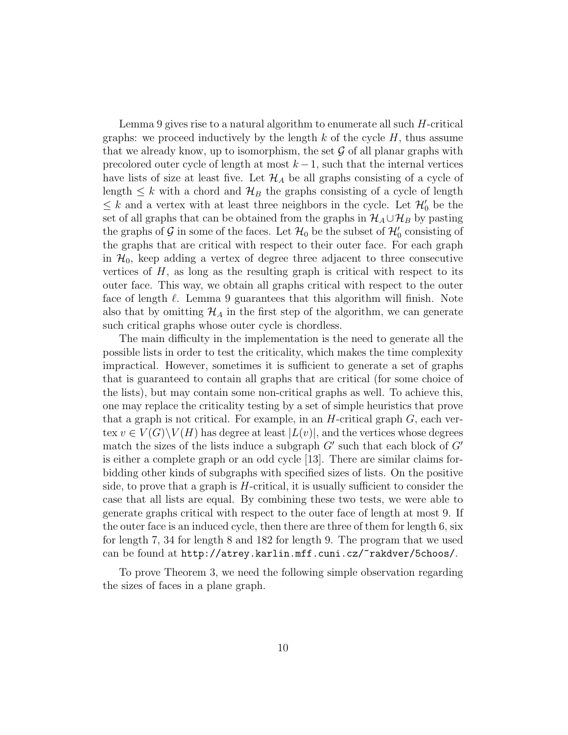Lemma 9 gives rise to a natural algorithm to enumerate all such  $H$ -critical graphs: we proceed inductively by the length  $k$  of the cycle  $H$ , thus assume that we already know, up to isomorphism, the set  $\mathcal G$  of all planar graphs with precolored outer cycle of length at most  $k - 1$ , such that the internal vertices have lists of size at least five. Let  $\mathcal{H}_A$  be all graphs consisting of a cycle of length  $\leq k$  with a chord and  $\mathcal{H}_B$  the graphs consisting of a cycle of length  $\leq k$  and a vertex with at least three neighbors in the cycle. Let  $\mathcal{H}'_0$  be the set of all graphs that can be obtained from the graphs in  $\mathcal{H}_A \cup \mathcal{H}_B$  by pasting the graphs of  $\mathcal G$  in some of the faces. Let  $\mathcal H_0$  be the subset of  $\mathcal H_0'$  consisting of the graphs that are critical with respect to their outer face. For each graph in  $\mathcal{H}_0$ , keep adding a vertex of degree three adjacent to three consecutive vertices of  $H$ , as long as the resulting graph is critical with respect to its outer face. This way, we obtain all graphs critical with respect to the outer face of length  $\ell$ . Lemma 9 guarantees that this algorithm will finish. Note also that by omitting  $\mathcal{H}_A$  in the first step of the algorithm, we can generate such critical graphs whose outer cycle is chordless.

The main difficulty in the implementation is the need to generate all the possible lists in order to test the criticality, which makes the time complexity impractical. However, sometimes it is sufficient to generate a set of graphs that is guaranteed to contain all graphs that are critical (for some choice of the lists), but may contain some non-critical graphs as well. To achieve this, one may replace the criticality testing by a set of simple heuristics that prove that a graph is not critical. For example, in an  $H$ -critical graph  $G$ , each vertex  $v \in V(G) \backslash V(H)$  has degree at least  $|L(v)|$ , and the vertices whose degrees match the sizes of the lists induce a subgraph  $G'$  such that each block of  $G'$ is either a complete graph or an odd cycle [13]. There are similar claims forbidding other kinds of subgraphs with specified sizes of lists. On the positive side, to prove that a graph is H-critical, it is usually sufficient to consider the case that all lists are equal. By combining these two tests, we were able to generate graphs critical with respect to the outer face of length at most 9. If the outer face is an induced cycle, then there are three of them for length 6, six for length 7, 34 for length 8 and 182 for length 9. The program that we used can be found at http://atrey.karlin.mff.cuni.cz/~rakdver/5choos/.

To prove Theorem 3, we need the following simple observation regarding the sizes of faces in a plane graph.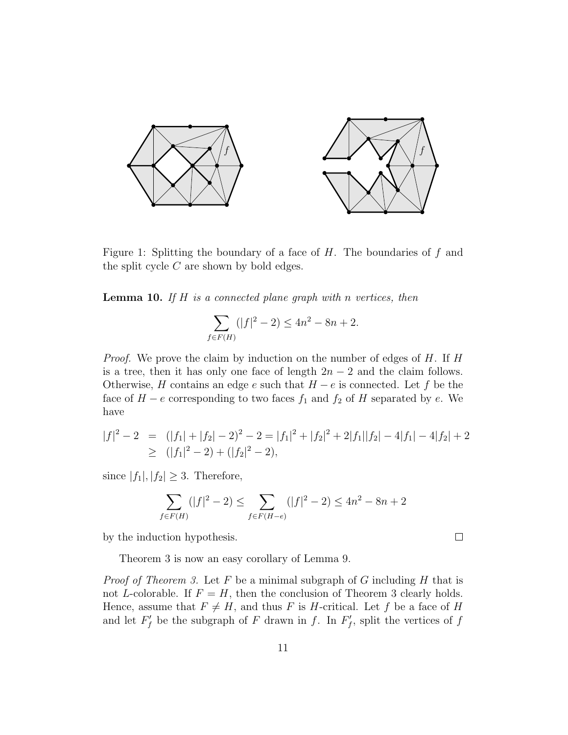

Figure 1: Splitting the boundary of a face of  $H$ . The boundaries of  $f$  and the split cycle  $C$  are shown by bold edges.

**Lemma 10.** If  $H$  is a connected plane graph with n vertices, then

$$
\sum_{f \in F(H)} (|f|^2 - 2) \le 4n^2 - 8n + 2.
$$

Proof. We prove the claim by induction on the number of edges of H. If H is a tree, then it has only one face of length  $2n-2$  and the claim follows. Otherwise, H contains an edge e such that  $H - e$  is connected. Let f be the face of  $H - e$  corresponding to two faces  $f_1$  and  $f_2$  of H separated by e. We have

$$
|f|^2 - 2 = (|f_1| + |f_2| - 2)^2 - 2 = |f_1|^2 + |f_2|^2 + 2|f_1||f_2| - 4|f_1| - 4|f_2| + 2
$$
  
\n
$$
\geq (|f_1|^2 - 2) + (|f_2|^2 - 2),
$$

since  $|f_1|, |f_2| \geq 3$ . Therefore,

$$
\sum_{f \in F(H)} (|f|^2 - 2) \le \sum_{f \in F(H - e)} (|f|^2 - 2) \le 4n^2 - 8n + 2
$$

 $\Box$ 

by the induction hypothesis.

Theorem 3 is now an easy corollary of Lemma 9.

*Proof of Theorem 3.* Let  $F$  be a minimal subgraph of  $G$  including  $H$  that is not L-colorable. If  $F = H$ , then the conclusion of Theorem 3 clearly holds. Hence, assume that  $F \neq H$ , and thus F is H-critical. Let f be a face of H and let  $F'_f$  be the subgraph of F drawn in f. In  $F'_f$ , split the vertices of f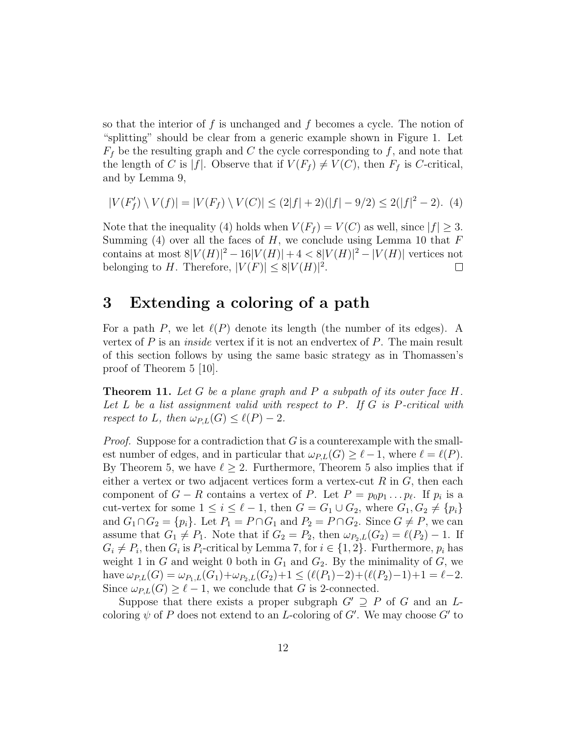so that the interior of  $f$  is unchanged and  $f$  becomes a cycle. The notion of "splitting" should be clear from a generic example shown in Figure 1. Let  $F_f$  be the resulting graph and C the cycle corresponding to f, and note that the length of C is |f|. Observe that if  $V(F_f) \neq V(C)$ , then  $F_f$  is C-critical, and by Lemma 9,

$$
|V(F'_f) \setminus V(f)| = |V(F_f) \setminus V(C)| \le (2|f| + 2)(|f| - 9/2) \le 2(|f|^2 - 2). \tag{4}
$$

Note that the inequality (4) holds when  $V(F_f) = V(C)$  as well, since  $|f| \geq 3$ . Summing (4) over all the faces of  $H$ , we conclude using Lemma 10 that  $F$ contains at most  $8|V(H)|^2 - 16|V(H)| + 4 < 8|V(H)|^2 - |V(H)|$  vertices not belonging to H. Therefore,  $|V(F)| \leq 8|V(H)|^2$ .  $\Box$ 

# 3 Extending a coloring of a path

For a path P, we let  $\ell(P)$  denote its length (the number of its edges). A vertex of  $P$  is an *inside* vertex if it is not an endvertex of  $P$ . The main result of this section follows by using the same basic strategy as in Thomassen's proof of Theorem 5 [10].

**Theorem 11.** Let G be a plane graph and P a subpath of its outer face H. Let L be a list assignment valid with respect to P. If G is P-critical with respect to L, then  $\omega_{PL}(G) \leq \ell(P) - 2$ .

*Proof.* Suppose for a contradiction that  $G$  is a counterexample with the smallest number of edges, and in particular that  $\omega_{P,L}(G) \geq \ell - 1$ , where  $\ell = \ell(P)$ . By Theorem 5, we have  $\ell \geq 2$ . Furthermore, Theorem 5 also implies that if either a vertex or two adjacent vertices form a vertex-cut  $R$  in  $G$ , then each component of  $G - R$  contains a vertex of P. Let  $P = p_0 p_1 \dots p_\ell$ . If  $p_i$  is a cut-vertex for some  $1 \leq i \leq \ell - 1$ , then  $G = G_1 \cup G_2$ , where  $G_1, G_2 \neq \{p_i\}$ and  $G_1 \cap G_2 = \{p_i\}$ . Let  $P_1 = P \cap G_1$  and  $P_2 = P \cap G_2$ . Since  $G \neq P$ , we can assume that  $G_1 \neq P_1$ . Note that if  $G_2 = P_2$ , then  $\omega_{P_2,L}(G_2) = \ell(P_2) - 1$ . If  $G_i \neq P_i$ , then  $G_i$  is  $P_i$ -critical by Lemma 7, for  $i \in \{1, 2\}$ . Furthermore,  $p_i$  has weight 1 in G and weight 0 both in  $G_1$  and  $G_2$ . By the minimality of G, we have  $\omega_{P,L}(G) = \omega_{P_1,L}(G_1) + \omega_{P_2,L}(G_2) + 1 \leq (\ell(P_1)-2) + (\ell(P_2)-1)+1 = \ell-2.$ Since  $\omega_{PL}(G) \geq \ell - 1$ , we conclude that G is 2-connected.

Suppose that there exists a proper subgraph  $G' \supseteq P$  of G and an Lcoloring  $\psi$  of P does not extend to an L-coloring of G'. We may choose G' to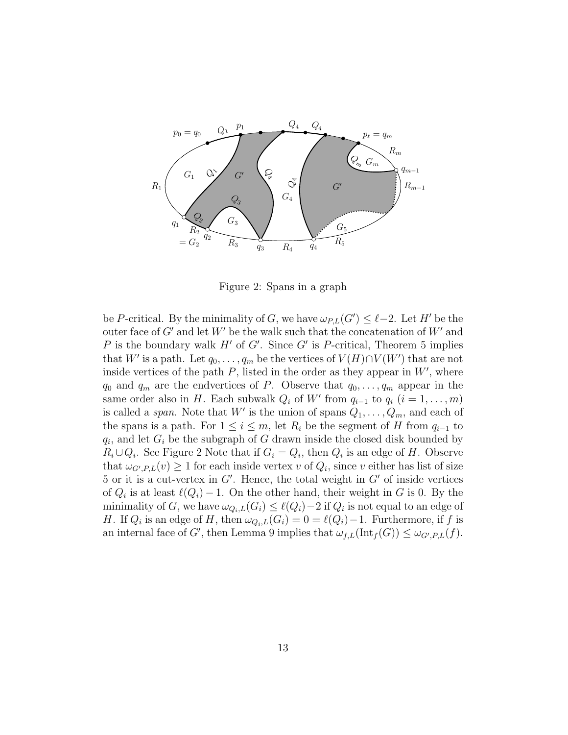

Figure 2: Spans in a graph

be P-critical. By the minimality of G, we have  $\omega_{P,L}(G') \leq \ell-2$ . Let H' be the outer face of  $G'$  and let  $W'$  be the walk such that the concatenation of  $W'$  and P is the boundary walk H' of G'. Since G' is P-critical, Theorem 5 implies that W' is a path. Let  $q_0, \ldots, q_m$  be the vertices of  $V(H) \cap V(W')$  that are not inside vertices of the path  $P$ , listed in the order as they appear in  $W'$ , where  $q_0$  and  $q_m$  are the endvertices of P. Observe that  $q_0, \ldots, q_m$  appear in the same order also in H. Each subwalk  $Q_i$  of W' from  $q_{i-1}$  to  $q_i$   $(i = 1, ..., m)$ is called a *span*. Note that W' is the union of spans  $Q_1, \ldots, Q_m$ , and each of the spans is a path. For  $1 \leq i \leq m$ , let  $R_i$  be the segment of H from  $q_{i-1}$  to  $q_i$ , and let  $G_i$  be the subgraph of G drawn inside the closed disk bounded by  $R_i \cup Q_i$ . See Figure 2 Note that if  $G_i = Q_i$ , then  $Q_i$  is an edge of H. Observe that  $\omega_{G',P,L}(v) \ge 1$  for each inside vertex v of  $Q_i$ , since v either has list of size 5 or it is a cut-vertex in  $G'$ . Hence, the total weight in  $G'$  of inside vertices of  $Q_i$  is at least  $\ell(Q_i) - 1$ . On the other hand, their weight in G is 0. By the minimality of G, we have  $\omega_{Q_i,L}(G_i) \leq \ell(Q_i)-2$  if  $Q_i$  is not equal to an edge of H. If  $Q_i$  is an edge of H, then  $\omega_{Q_i,L}(G_i) = 0 = \ell(Q_i)-1$ . Furthermore, if f is an internal face of G', then Lemma 9 implies that  $\omega_{f,L}(\text{Int}_f(G)) \leq \omega_{G',P,L}(f)$ .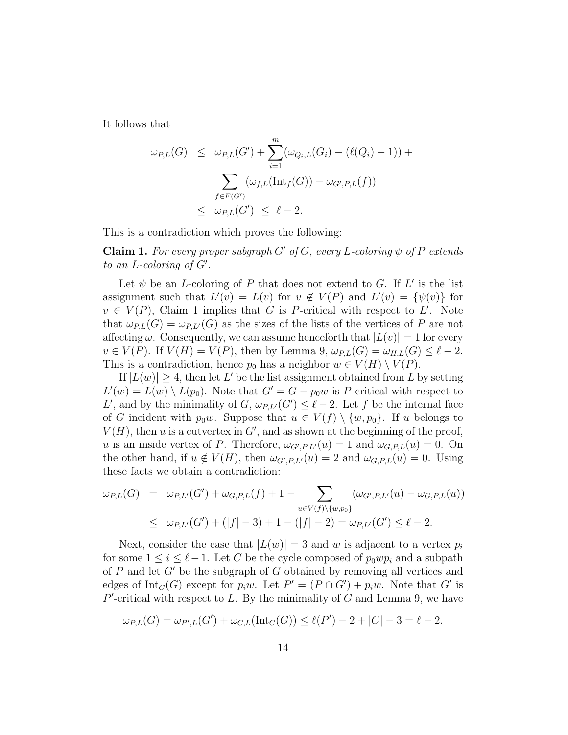It follows that

$$
\omega_{P,L}(G) \leq \omega_{P,L}(G') + \sum_{i=1}^{m} (\omega_{Q_i,L}(G_i) - (\ell(Q_i) - 1)) + \sum_{f \in F(G')} (\omega_{f,L}(\text{Int}_f(G)) - \omega_{G',P,L}(f)) \leq \omega_{P,L}(G') \leq \ell - 2.
$$

This is a contradiction which proves the following:

**Claim 1.** For every proper subgraph G' of G, every L-coloring  $\psi$  of P extends to an  $L$ -coloring of  $G'$ .

Let  $\psi$  be an *L*-coloring of P that does not extend to G. If L' is the list assignment such that  $L'(v) = L(v)$  for  $v \notin V(P)$  and  $L'(v) = {\psi(v)}$  for  $v \in V(P)$ , Claim 1 implies that G is P-critical with respect to L'. Note that  $\omega_{PL}(G) = \omega_{PL}(G)$  as the sizes of the lists of the vertices of P are not affecting  $\omega$ . Consequently, we can assume henceforth that  $|L(v)| = 1$  for every  $v \in V(P)$ . If  $V(H) = V(P)$ , then by Lemma 9,  $\omega_{P,L}(G) = \omega_{H,L}(G) \leq \ell - 2$ . This is a contradiction, hence  $p_0$  has a neighbor  $w \in V(H) \setminus V(P)$ .

If  $|L(w)| \geq 4$ , then let L' be the list assignment obtained from L by setting  $L'(w) = L(w) \setminus L(p_0)$ . Note that  $G' = G - p_0 w$  is P-critical with respect to L', and by the minimality of  $G$ ,  $\omega_{P,L'}(G') \leq \ell - 2$ . Let f be the internal face of G incident with  $p_0w$ . Suppose that  $u \in V(f) \setminus \{w, p_0\}$ . If u belongs to  $V(H)$ , then u is a cutvertex in  $G'$ , and as shown at the beginning of the proof, u is an inside vertex of P. Therefore,  $\omega_{G',P,L'}(u) = 1$  and  $\omega_{G,P,L}(u) = 0$ . On the other hand, if  $u \notin V(H)$ , then  $\omega_{G',P,L'}(u) = 2$  and  $\omega_{G,P,L}(u) = 0$ . Using these facts we obtain a contradiction:

$$
\omega_{P,L}(G) = \omega_{P,L'}(G') + \omega_{G,P,L}(f) + 1 - \sum_{u \in V(f) \setminus \{w,p_0\}} (\omega_{G',P,L'}(u) - \omega_{G,P,L}(u))
$$
  

$$
\leq \omega_{P,L'}(G') + (|f| - 3) + 1 - (|f| - 2) = \omega_{P,L'}(G') \leq \ell - 2.
$$

Next, consider the case that  $|L(w)| = 3$  and w is adjacent to a vertex  $p_i$ for some  $1 \leq i \leq \ell - 1$ . Let C be the cycle composed of  $p_0wp_i$  and a subpath of  $P$  and let  $G'$  be the subgraph of  $G$  obtained by removing all vertices and edges of  $\text{Int}_C(G)$  except for  $p_iw$ . Let  $P' = (P \cap G') + p_iw$ . Note that G' is  $P'$ -critical with respect to L. By the minimality of G and Lemma 9, we have

$$
\omega_{P,L}(G) = \omega_{P',L}(G') + \omega_{C,L}(\text{Int}_C(G)) \le \ell(P') - 2 + |C| - 3 = \ell - 2.
$$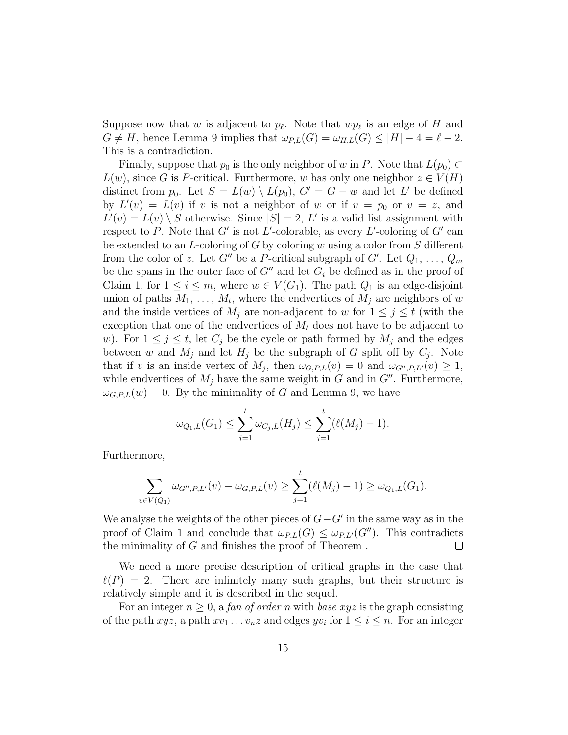Suppose now that w is adjacent to  $p_\ell$ . Note that  $wp_\ell$  is an edge of H and  $G \neq H$ , hence Lemma 9 implies that  $\omega_{P,L}(G) = \omega_{H,L}(G) \leq |H| - 4 = \ell - 2$ . This is a contradiction.

Finally, suppose that  $p_0$  is the only neighbor of w in P. Note that  $L(p_0) \subset$  $L(w)$ , since G is P-critical. Furthermore, w has only one neighbor  $z \in V(H)$ distinct from  $p_0$ . Let  $S = L(w) \setminus L(p_0)$ ,  $G' = G - w$  and let L' be defined by  $L'(v) = L(v)$  if v is not a neighbor of w or if  $v = p_0$  or  $v = z$ , and  $L'(v) = L(v) \setminus S$  otherwise. Since  $|S| = 2$ , L' is a valid list assignment with respect to P. Note that G' is not L'-colorable, as every L'-coloring of G' can be extended to an  $L$ -coloring of G by coloring w using a color from S different from the color of z. Let  $G''$  be a P-critical subgraph of  $G'$ . Let  $Q_1, \ldots, Q_m$ be the spans in the outer face of  $G''$  and let  $G_i$  be defined as in the proof of Claim 1, for  $1 \leq i \leq m$ , where  $w \in V(G_1)$ . The path  $Q_1$  is an edge-disjoint union of paths  $M_1, \ldots, M_t$ , where the endvertices of  $M_j$  are neighbors of w and the inside vertices of  $M_j$  are non-adjacent to w for  $1 \leq j \leq t$  (with the exception that one of the endvertices of  $M_t$  does not have to be adjacent to w). For  $1 \leq j \leq t$ , let  $C_j$  be the cycle or path formed by  $M_j$  and the edges between w and  $M_j$  and let  $H_j$  be the subgraph of G split off by  $C_j$ . Note that if v is an inside vertex of  $M_j$ , then  $\omega_{G,P,L}(v) = 0$  and  $\omega_{G'',P,L'}(v) \geq 1$ , while endvertices of  $M_i$  have the same weight in G and in  $G''$ . Furthermore,  $\omega_{G.P.L}(w) = 0$ . By the minimality of G and Lemma 9, we have

$$
\omega_{Q_1,L}(G_1) \leq \sum_{j=1}^t \omega_{C_j,L}(H_j) \leq \sum_{j=1}^t (\ell(M_j) - 1).
$$

Furthermore,

$$
\sum_{v \in V(Q_1)} \omega_{G'',P,L'}(v) - \omega_{G,P,L}(v) \ge \sum_{j=1}^t (\ell(M_j) - 1) \ge \omega_{Q_1,L}(G_1).
$$

We analyse the weights of the other pieces of  $G-G'$  in the same way as in the proof of Claim 1 and conclude that  $\omega_{PL}(G) \leq \omega_{PL}(G'')$ . This contradicts the minimality of G and finishes the proof of Theorem .  $\Box$ 

We need a more precise description of critical graphs in the case that  $\ell(P) = 2$ . There are infinitely many such graphs, but their structure is relatively simple and it is described in the sequel.

For an integer  $n \geq 0$ , a fan of order n with base xyz is the graph consisting of the path  $xyz$ , a path  $xv_1 \ldots v_nz$  and edges  $yv_i$  for  $1 \le i \le n$ . For an integer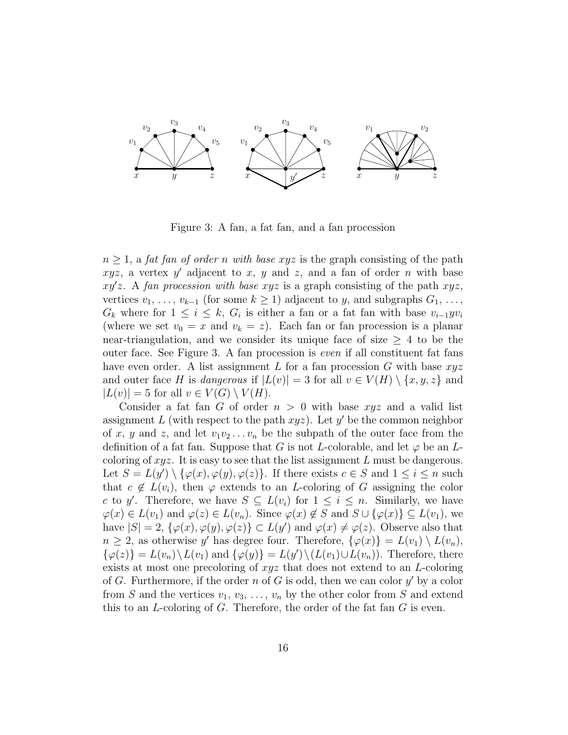

Figure 3: A fan, a fat fan, and a fan procession

 $n \geq 1$ , a fat fan of order n with base xyz is the graph consisting of the path  $xyz$ , a vertex y' adjacent to x, y and z, and a fan of order n with base  $xy'z$ . A fan procession with base xyz is a graph consisting of the path  $xyz$ , vertices  $v_1, \ldots, v_{k-1}$  (for some  $k \geq 1$ ) adjacent to y, and subgraphs  $G_1, \ldots,$  $G_k$  where for  $1 \leq i \leq k$ ,  $G_i$  is either a fan or a fat fan with base  $v_{i-1}yv_i$ (where we set  $v_0 = x$  and  $v_k = z$ ). Each fan or fan procession is a planar near-triangulation, and we consider its unique face of size  $\geq 4$  to be the outer face. See Figure 3. A fan procession is even if all constituent fat fans have even order. A list assignment  $L$  for a fan procession  $G$  with base  $xyz$ and outer face H is dangerous if  $|L(v)| = 3$  for all  $v \in V(H) \setminus \{x, y, z\}$  and  $|L(v)| = 5$  for all  $v \in V(G) \setminus V(H)$ .

Consider a fat fan G of order  $n > 0$  with base xyz and a valid list assignment L (with respect to the path  $xyz$ ). Let  $y'$  be the common neighbor of x, y and z, and let  $v_1v_2...v_n$  be the subpath of the outer face from the definition of a fat fan. Suppose that G is not L-colorable, and let  $\varphi$  be an Lcoloring of  $xyz$ . It is easy to see that the list assignment L must be dangerous. Let  $S = L(y') \setminus {\varphi(x), \varphi(y), \varphi(z)}$ . If there exists  $c \in S$  and  $1 \leq i \leq n$  such that  $c \notin L(v_i)$ , then  $\varphi$  extends to an *L*-coloring of G assigning the color c to y'. Therefore, we have  $S \subseteq L(v_i)$  for  $1 \leq i \leq n$ . Similarly, we have  $\varphi(x) \in L(v_1)$  and  $\varphi(z) \in L(v_n)$ . Since  $\varphi(x) \notin S$  and  $S \cup {\varphi(x)} \subseteq L(v_1)$ , we have  $|S| = 2$ ,  $\{\varphi(x), \varphi(y), \varphi(z)\} \subset L(y')$  and  $\varphi(x) \neq \varphi(z)$ . Observe also that  $n \geq 2$ , as otherwise y' has degree four. Therefore,  $\{\varphi(x)\} = L(v_1) \setminus L(v_n)$ ,  $\{\varphi(z)\} = L(v_n) \backslash L(v_1)$  and  $\{\varphi(y)\} = L(y') \backslash (L(v_1) \cup L(v_n))$ . Therefore, there exists at most one precoloring of  $xyz$  that does not extend to an L-coloring of G. Furthermore, if the order n of G is odd, then we can color  $y'$  by a color from S and the vertices  $v_1, v_3, \ldots, v_n$  by the other color from S and extend this to an  $L$ -coloring of  $G$ . Therefore, the order of the fat fan  $G$  is even.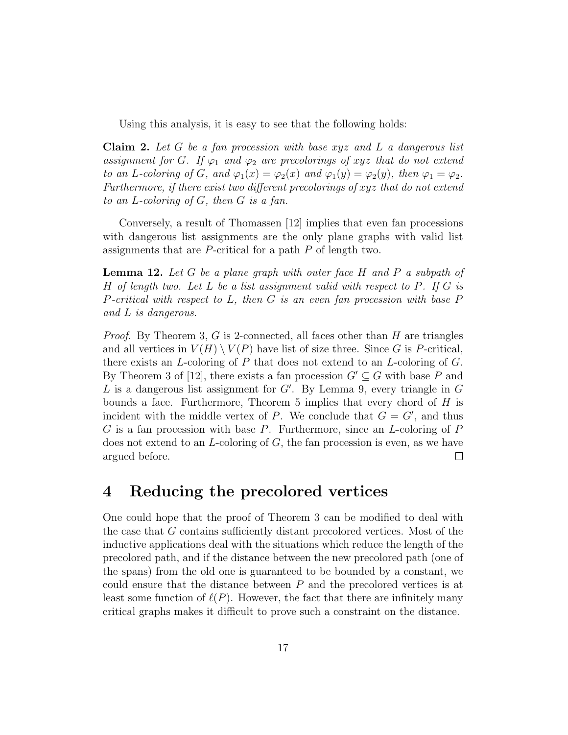Using this analysis, it is easy to see that the following holds:

Claim 2. Let G be a fan procession with base xyz and L a dangerous list assignment for G. If  $\varphi_1$  and  $\varphi_2$  are precolorings of xyz that do not extend to an L-coloring of G, and  $\varphi_1(x) = \varphi_2(x)$  and  $\varphi_1(y) = \varphi_2(y)$ , then  $\varphi_1 = \varphi_2$ . Furthermore, if there exist two different precolorings of xyz that do not extend to an L-coloring of G, then G is a fan.

Conversely, a result of Thomassen [12] implies that even fan processions with dangerous list assignments are the only plane graphs with valid list assignments that are P-critical for a path P of length two.

**Lemma 12.** Let G be a plane graph with outer face H and P a subpath of H of length two. Let L be a list assignment valid with respect to  $P$ . If G is P-critical with respect to L, then G is an even fan procession with base  $P$ and L is dangerous.

*Proof.* By Theorem 3, G is 2-connected, all faces other than  $H$  are triangles and all vertices in  $V(H) \setminus V(P)$  have list of size three. Since G is P-critical, there exists an  $L$ -coloring of P that does not extend to an  $L$ -coloring of  $G$ . By Theorem 3 of [12], there exists a fan procession  $G' \subseteq G$  with base P and L is a dangerous list assignment for  $G'$ . By Lemma 9, every triangle in  $G$ bounds a face. Furthermore, Theorem 5 implies that every chord of  $H$  is incident with the middle vertex of P. We conclude that  $G = G'$ , and thus  $G$  is a fan procession with base  $P$ . Furthermore, since an  $L$ -coloring of  $P$ does not extend to an  $L$ -coloring of  $G$ , the fan procession is even, as we have argued before.  $\Box$ 

### 4 Reducing the precolored vertices

One could hope that the proof of Theorem 3 can be modified to deal with the case that G contains sufficiently distant precolored vertices. Most of the inductive applications deal with the situations which reduce the length of the precolored path, and if the distance between the new precolored path (one of the spans) from the old one is guaranteed to be bounded by a constant, we could ensure that the distance between P and the precolored vertices is at least some function of  $\ell(P)$ . However, the fact that there are infinitely many critical graphs makes it difficult to prove such a constraint on the distance.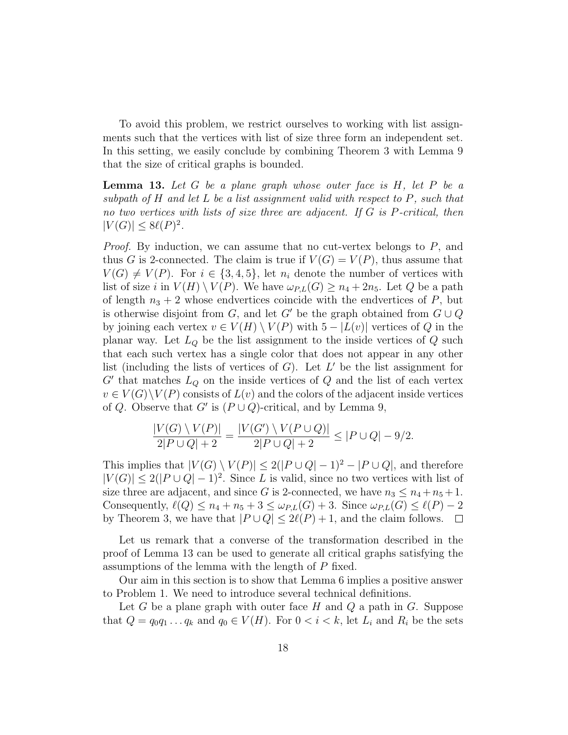To avoid this problem, we restrict ourselves to working with list assignments such that the vertices with list of size three form an independent set. In this setting, we easily conclude by combining Theorem 3 with Lemma 9 that the size of critical graphs is bounded.

**Lemma 13.** Let  $G$  be a plane graph whose outer face is  $H$ , let  $P$  be a subpath of  $H$  and let  $L$  be a list assignment valid with respect to  $P$ , such that no two vertices with lists of size three are adjacent. If G is P-critical, then  $|V(G)| \leq 8\ell(P)^2$ .

*Proof.* By induction, we can assume that no cut-vertex belongs to  $P$ , and thus G is 2-connected. The claim is true if  $V(G) = V(P)$ , thus assume that  $V(G) \neq V(P)$ . For  $i \in \{3,4,5\}$ , let  $n_i$  denote the number of vertices with list of size i in  $V(H) \setminus V(P)$ . We have  $\omega_{PL}(G) \geq n_4 + 2n_5$ . Let Q be a path of length  $n_3 + 2$  whose endvertices coincide with the endvertices of P, but is otherwise disjoint from G, and let G' be the graph obtained from  $G \cup Q$ by joining each vertex  $v \in V(H) \setminus V(P)$  with  $5 - |L(v)|$  vertices of Q in the planar way. Let  $L_Q$  be the list assignment to the inside vertices of  $Q$  such that each such vertex has a single color that does not appear in any other list (including the lists of vertices of  $G$ ). Let  $L'$  be the list assignment for  $G'$  that matches  $L_Q$  on the inside vertices of  $Q$  and the list of each vertex  $v \in V(G) \backslash V(P)$  consists of  $L(v)$  and the colors of the adjacent inside vertices of Q. Observe that G' is  $(P \cup Q)$ -critical, and by Lemma 9,

$$
\frac{|V(G) \setminus V(P)|}{2|P \cup Q| + 2} = \frac{|V(G') \setminus V(P \cup Q)|}{2|P \cup Q| + 2} \le |P \cup Q| - 9/2.
$$

This implies that  $|V(G) \setminus V(P)| \leq 2(|P \cup Q| - 1)^2 - |P \cup Q|$ , and therefore  $|V(G)| \leq 2(|P \cup Q| - 1)^2$ . Since L is valid, since no two vertices with list of size three are adjacent, and since G is 2-connected, we have  $n_3 \leq n_4 + n_5 + 1$ . Consequently,  $\ell(Q) \leq n_4 + n_5 + 3 \leq \omega_{P,L}(G) + 3$ . Since  $\omega_{P,L}(G) \leq \ell(P) - 2$ by Theorem 3, we have that  $|P \cup Q| \leq 2\ell(P) + 1$ , and the claim follows.  $\Box$ 

Let us remark that a converse of the transformation described in the proof of Lemma 13 can be used to generate all critical graphs satisfying the assumptions of the lemma with the length of P fixed.

Our aim in this section is to show that Lemma 6 implies a positive answer to Problem 1. We need to introduce several technical definitions.

Let  $G$  be a plane graph with outer face  $H$  and  $Q$  a path in  $G$ . Suppose that  $Q = q_0 q_1 \dots q_k$  and  $q_0 \in V(H)$ . For  $0 < i < k$ , let  $L_i$  and  $R_i$  be the sets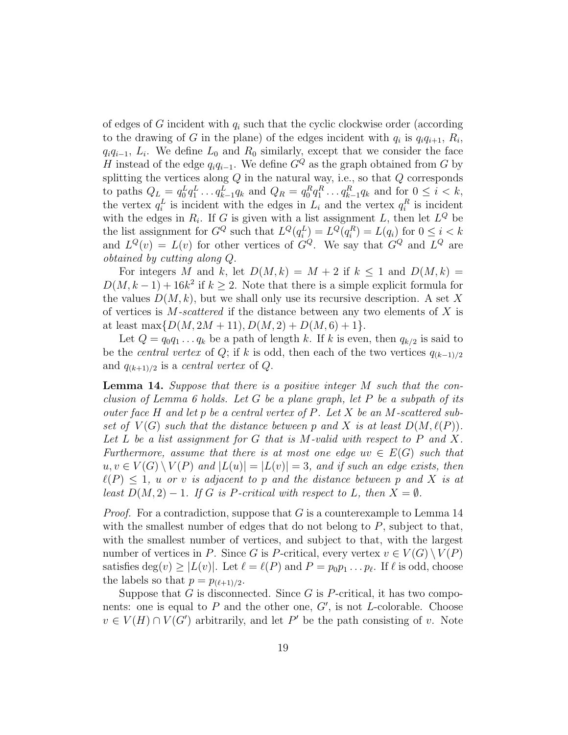of edges of G incident with  $q_i$  such that the cyclic clockwise order (according to the drawing of G in the plane) of the edges incident with  $q_i$  is  $q_iq_{i+1}, R_i$ ,  $q_i q_{i-1}, L_i$ . We define  $L_0$  and  $R_0$  similarly, except that we consider the face H instead of the edge  $q_iq_{i-1}$ . We define  $G^Q$  as the graph obtained from G by splitting the vertices along  $Q$  in the natural way, i.e., so that  $Q$  corresponds to paths  $Q_L = q_0^L q_1^L \dots q_{k-1}^L q_k$  and  $Q_R = q_0^R q_1^R \dots q_{k-1}^R q_k$  and for  $0 \le i \le k$ , the vertex  $q_i^L$  is incident with the edges in  $L_i$  and the vertex  $q_i^R$  is incident with the edges in  $R_i$ . If G is given with a list assignment L, then let  $L^Q$  be the list assignment for  $G^Q$  such that  $L^Q(q_i^L) = L^Q(q_i^R) = L(q_i)$  for  $0 \le i < k$ and  $L^{Q}(v) = L(v)$  for other vertices of  $G^{Q}$ . We say that  $G^{Q}$  and  $L^{Q}$  are obtained by cutting along Q.

For integers M and k, let  $D(M, k) = M + 2$  if  $k \le 1$  and  $D(M, k) =$  $D(M, k-1) + 16k^2$  if  $k \geq 2$ . Note that there is a simple explicit formula for the values  $D(M, k)$ , but we shall only use its recursive description. A set X of vertices is  $M$ -scattered if the distance between any two elements of  $X$  is at least max $\{D(M, 2M + 11), D(M, 2) + D(M, 6) + 1\}.$ 

Let  $Q = q_0 q_1 \dots q_k$  be a path of length k. If k is even, then  $q_{k/2}$  is said to be the *central vertex* of Q; if k is odd, then each of the two vertices  $q_{(k-1)/2}$ and  $q_{(k+1)/2}$  is a *central vertex* of  $Q$ .

**Lemma 14.** Suppose that there is a positive integer  $M$  such that the conclusion of Lemma 6 holds. Let G be a plane graph, let P be a subpath of its outer face H and let  $p$  be a central vertex of  $P$ . Let  $X$  be an M-scattered subset of  $V(G)$  such that the distance between p and X is at least  $D(M, \ell(P))$ . Let L be a list assignment for G that is M-valid with respect to P and X. Furthermore, assume that there is at most one edge  $uv \in E(G)$  such that  $u, v \in V(G) \setminus V(P)$  and  $|L(u)| = |L(v)| = 3$ , and if such an edge exists, then  $\ell(P) \leq 1$ , u or v is adjacent to p and the distance between p and X is at least  $D(M, 2) - 1$ . If G is P-critical with respect to L, then  $X = \emptyset$ .

*Proof.* For a contradiction, suppose that  $G$  is a counterexample to Lemma 14 with the smallest number of edges that do not belong to  $P$ , subject to that, with the smallest number of vertices, and subject to that, with the largest number of vertices in P. Since G is P-critical, every vertex  $v \in V(G) \setminus V(P)$ satisfies  $\deg(v) \ge |L(v)|$ . Let  $\ell = \ell(P)$  and  $P = p_0p_1 \dots p_\ell$ . If  $\ell$  is odd, choose the labels so that  $p = p_{(\ell+1)/2}$ .

Suppose that  $G$  is disconnected. Since  $G$  is  $P$ -critical, it has two components: one is equal to  $P$  and the other one,  $G'$ , is not L-colorable. Choose  $v \in V(H) \cap V(G')$  arbitrarily, and let P' be the path consisting of v. Note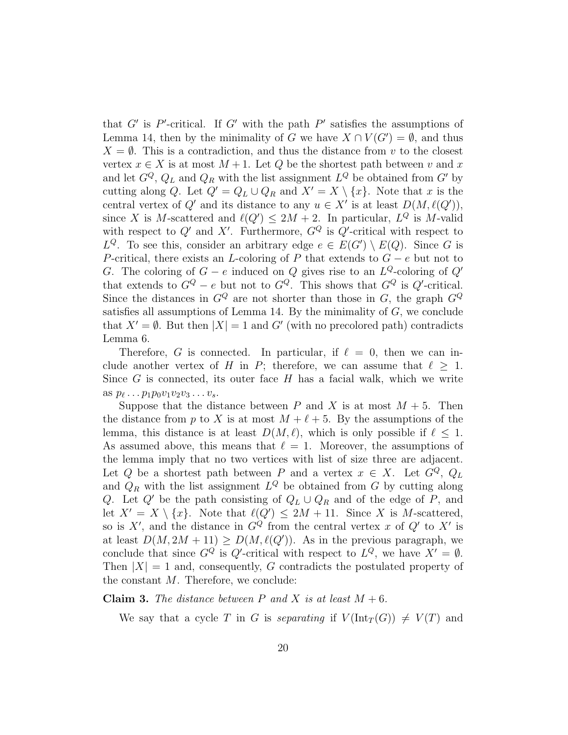that G' is P'-critical. If G' with the path P' satisfies the assumptions of Lemma 14, then by the minimality of G we have  $X \cap V(G') = \emptyset$ , and thus  $X = \emptyset$ . This is a contradiction, and thus the distance from v to the closest vertex  $x \in X$  is at most  $M+1$ . Let Q be the shortest path between v and x and let  $G^Q$ ,  $Q_L$  and  $Q_R$  with the list assignment  $L^Q$  be obtained from  $G'$  by cutting along Q. Let  $Q' = Q_L \cup Q_R$  and  $X' = X \setminus \{x\}$ . Note that x is the central vertex of  $Q'$  and its distance to any  $u \in X'$  is at least  $D(M, \ell(Q'))$ , since X is M-scattered and  $\ell(Q') \leq 2M + 2$ . In particular,  $L^Q$  is M-valid with respect to  $Q'$  and X'. Furthermore,  $G^Q$  is  $Q'$ -critical with respect to  $L^Q$ . To see this, consider an arbitrary edge  $e \in E(G') \setminus E(Q)$ . Since G is P-critical, there exists an L-coloring of P that extends to  $G - e$  but not to G. The coloring of  $G - e$  induced on Q gives rise to an  $L^Q$ -coloring of  $Q'$ that extends to  $G^Q - e$  but not to  $G^Q$ . This shows that  $G^Q$  is  $Q'$ -critical. Since the distances in  $G^Q$  are not shorter than those in G, the graph  $G^Q$ satisfies all assumptions of Lemma 14. By the minimality of  $G$ , we conclude that  $X' = \emptyset$ . But then  $|X| = 1$  and G' (with no precolored path) contradicts Lemma 6.

Therefore, G is connected. In particular, if  $\ell = 0$ , then we can include another vertex of H in P; therefore, we can assume that  $\ell \geq 1$ . Since  $G$  is connected, its outer face  $H$  has a facial walk, which we write as  $p_{\ell} \ldots p_1 p_0 v_1 v_2 v_3 \ldots v_s$ .

Suppose that the distance between P and X is at most  $M + 5$ . Then the distance from p to X is at most  $M + \ell + 5$ . By the assumptions of the lemma, this distance is at least  $D(M, \ell)$ , which is only possible if  $\ell \leq 1$ . As assumed above, this means that  $\ell = 1$ . Moreover, the assumptions of the lemma imply that no two vertices with list of size three are adjacent. Let Q be a shortest path between P and a vertex  $x \in X$ . Let  $G^Q$ ,  $Q_L$ and  $Q_R$  with the list assignment  $L^Q$  be obtained from G by cutting along Q. Let Q' be the path consisting of  $Q_L \cup Q_R$  and of the edge of P, and let  $X' = X \setminus \{x\}$ . Note that  $\ell(Q') \leq 2M + 11$ . Since X is M-scattered, so is X', and the distance in  $G^Q$  from the central vertex x of  $Q'$  to X' is at least  $D(M, 2M + 11) \ge D(M, \ell(Q'))$ . As in the previous paragraph, we conclude that since  $G^Q$  is  $Q'$ -critical with respect to  $L^Q$ , we have  $X' = \emptyset$ . Then  $|X| = 1$  and, consequently, G contradicts the postulated property of the constant  $M$ . Therefore, we conclude:

**Claim 3.** The distance between P and X is at least  $M + 6$ .

We say that a cycle T in G is separating if  $V(\text{Int}_T(G)) \neq V(T)$  and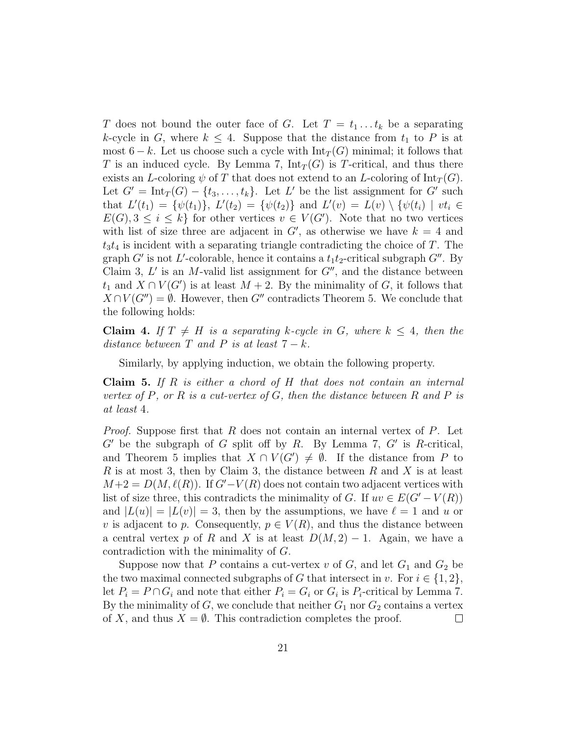T does not bound the outer face of G. Let  $T = t_1 \dots t_k$  be a separating k-cycle in G, where  $k \leq 4$ . Suppose that the distance from  $t_1$  to P is at most  $6 - k$ . Let us choose such a cycle with  $\text{Int}_T(G)$  minimal; it follows that T is an induced cycle. By Lemma 7,  $Int_T(G)$  is T-critical, and thus there exists an L-coloring  $\psi$  of T that does not extend to an L-coloring of Int<sub>T</sub>(G). Let  $G' = \text{Int}_T(G) - \{t_3, \ldots, t_k\}$ . Let L' be the list assignment for  $G'$  such that  $L'(t_1) = \{\psi(t_1)\},\ L'(t_2) = \{\psi(t_2)\}\$ and  $L'(v) = L(v) \setminus \{\psi(t_i) \mid vt_i \in$  $E(G), 3 \leq i \leq k$  for other vertices  $v \in V(G')$ . Note that no two vertices with list of size three are adjacent in  $G'$ , as otherwise we have  $k = 4$  and  $t_3t_4$  is incident with a separating triangle contradicting the choice of T. The graph  $G'$  is not L'-colorable, hence it contains a  $t_1t_2$ -critical subgraph  $G''$ . By Claim 3,  $L'$  is an M-valid list assignment for  $G''$ , and the distance between  $t_1$  and  $X \cap V(G')$  is at least  $M + 2$ . By the minimality of G, it follows that  $X \cap V(G'') = \emptyset$ . However, then G'' contradicts Theorem 5. We conclude that the following holds:

**Claim 4.** If  $T \neq H$  is a separating k-cycle in G, where  $k \leq 4$ , then the distance between T and P is at least  $7 - k$ .

Similarly, by applying induction, we obtain the following property.

**Claim 5.** If  $R$  is either a chord of  $H$  that does not contain an internal vertex of P, or R is a cut-vertex of G, then the distance between R and P is at least 4.

*Proof.* Suppose first that R does not contain an internal vertex of P. Let  $G'$  be the subgraph of G split off by R. By Lemma 7,  $G'$  is R-critical, and Theorem 5 implies that  $X \cap V(G') \neq \emptyset$ . If the distance from P to R is at most 3, then by Claim 3, the distance between R and X is at least  $M+2 = D(M, \ell(R))$ . If  $G'-V(R)$  does not contain two adjacent vertices with list of size three, this contradicts the minimality of G. If  $uv \in E(G'-V(R))$ and  $|L(u)| = |L(v)| = 3$ , then by the assumptions, we have  $\ell = 1$  and u or v is adjacent to p. Consequently,  $p \in V(R)$ , and thus the distance between a central vertex p of R and X is at least  $D(M, 2) - 1$ . Again, we have a contradiction with the minimality of G.

Suppose now that P contains a cut-vertex v of G, and let  $G_1$  and  $G_2$  be the two maximal connected subgraphs of G that intersect in v. For  $i \in \{1,2\}$ , let  $P_i = P \cap G_i$  and note that either  $P_i = G_i$  or  $G_i$  is  $P_i$ -critical by Lemma 7. By the minimality of G, we conclude that neither  $G_1$  nor  $G_2$  contains a vertex of X, and thus  $X = \emptyset$ . This contradiction completes the proof.  $\Box$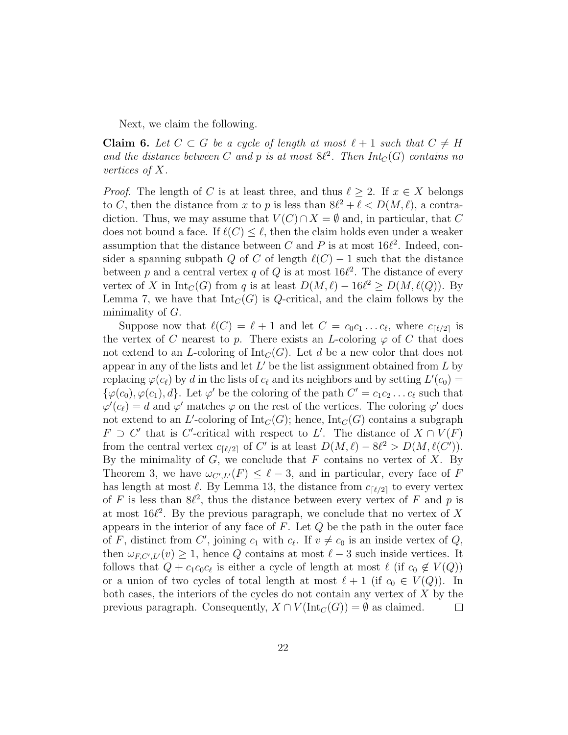Next, we claim the following.

**Claim 6.** Let  $C \subset G$  be a cycle of length at most  $\ell + 1$  such that  $C \neq H$ and the distance between C and p is at most  $8\ell^2$ . Then  $Int_C(G)$  contains no vertices of X.

*Proof.* The length of C is at least three, and thus  $\ell \geq 2$ . If  $x \in X$  belongs to C, then the distance from x to p is less than  $8\ell^2 + \ell < D(M, \ell)$ , a contradiction. Thus, we may assume that  $V(C) \cap X = \emptyset$  and, in particular, that C does not bound a face. If  $\ell(C) \leq \ell$ , then the claim holds even under a weaker assumption that the distance between C and P is at most  $16\ell^2$ . Indeed, consider a spanning subpath Q of C of length  $\ell(C) - 1$  such that the distance between p and a central vertex q of Q is at most  $16\ell^2$ . The distance of every vertex of X in  $Int_C(G)$  from q is at least  $D(M, \ell) - 16\ell^2 \ge D(M, \ell(Q))$ . By Lemma 7, we have that  $Int_C(G)$  is Q-critical, and the claim follows by the minimality of  $G$ .

Suppose now that  $\ell(C) = \ell + 1$  and let  $C = c_0 c_1 \ldots c_\ell$ , where  $c_{\lceil \ell/2 \rceil}$  is the vertex of C nearest to p. There exists an L-coloring  $\varphi$  of C that does not extend to an L-coloring of  $\text{Int}_C(G)$ . Let d be a new color that does not appear in any of the lists and let  $L'$  be the list assignment obtained from  $L$  by replacing  $\varphi(c_\ell)$  by d in the lists of  $c_\ell$  and its neighbors and by setting  $L'(c_0) =$  $\{\varphi(c_0), \varphi(c_1), d\}$ . Let  $\varphi'$  be the coloring of the path  $C' = c_1c_2 \ldots c_\ell$  such that  $\varphi'(c_{\ell}) = d$  and  $\varphi'$  matches  $\varphi$  on the rest of the vertices. The coloring  $\varphi'$  does not extend to an L'-coloring of  $\mathrm{Int}_C(G)$ ; hence,  $\mathrm{Int}_C(G)$  contains a subgraph  $F \supset C'$  that is C'-critical with respect to L'. The distance of  $X \cap V(F)$ from the central vertex  $c_{\lceil \ell/2 \rceil}$  of C' is at least  $D(M, \ell) - 8\ell^2 > D(M, \ell(C'))$ . By the minimality of  $G$ , we conclude that  $F$  contains no vertex of  $X$ . By Theorem 3, we have  $\omega_{C',L'}(F) \leq \ell - 3$ , and in particular, every face of F has length at most  $\ell$ . By Lemma 13, the distance from  $c_{\lceil \ell/2 \rceil}$  to every vertex of F is less than  $8\ell^2$ , thus the distance between every vertex of F and p is at most  $16\ell^2$ . By the previous paragraph, we conclude that no vertex of X appears in the interior of any face of  $F$ . Let  $Q$  be the path in the outer face of F, distinct from C', joining  $c_1$  with  $c_\ell$ . If  $v \neq c_0$  is an inside vertex of Q, then  $\omega_{F,C',L'}(v) \geq 1$ , hence Q contains at most  $\ell - 3$  such inside vertices. It follows that  $Q + c_1 c_0 c_\ell$  is either a cycle of length at most  $\ell$  (if  $c_0 \notin V(Q)$ ) or a union of two cycles of total length at most  $\ell + 1$  (if  $c_0 \in V(Q)$ ). In both cases, the interiors of the cycles do not contain any vertex of X by the previous paragraph. Consequently,  $X \cap V(\text{Int}_C(G)) = \emptyset$  as claimed.  $\Box$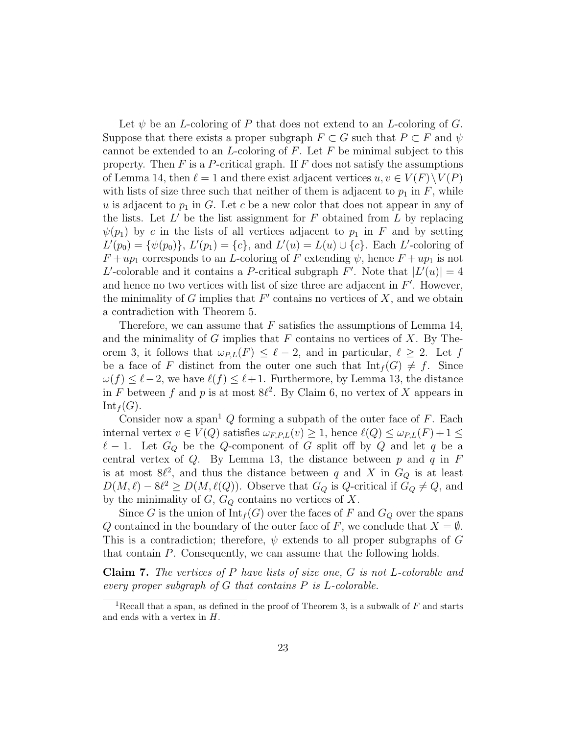Let  $\psi$  be an *L*-coloring of P that does not extend to an *L*-coloring of G. Suppose that there exists a proper subgraph  $F \subset G$  such that  $P \subset F$  and  $\psi$ cannot be extended to an L-coloring of F. Let F be minimal subject to this property. Then  $F$  is a P-critical graph. If  $F$  does not satisfy the assumptions of Lemma 14, then  $\ell = 1$  and there exist adjacent vertices  $u, v \in V(F) \setminus V(P)$ with lists of size three such that neither of them is adjacent to  $p_1$  in  $F$ , while u is adjacent to  $p_1$  in G. Let c be a new color that does not appear in any of the lists. Let  $L'$  be the list assignment for F obtained from L by replacing  $\psi(p_1)$  by c in the lists of all vertices adjacent to  $p_1$  in F and by setting  $L'(p_0) = {\psi(p_0)}, L'(p_1) = {c}, \text{ and } L'(u) = L(u) \cup {c}.$  Each L'-coloring of  $F + up_1$  corresponds to an L-coloring of F extending  $\psi$ , hence  $F + up_1$  is not L'-colorable and it contains a P-critical subgraph F'. Note that  $|L'(u)| = 4$ and hence no two vertices with list of size three are adjacent in  $F'$ . However, the minimality of G implies that  $F'$  contains no vertices of X, and we obtain a contradiction with Theorem 5.

Therefore, we can assume that  $F$  satisfies the assumptions of Lemma 14, and the minimality of G implies that  $F$  contains no vertices of X. By Theorem 3, it follows that  $\omega_{P,L}(F) \leq \ell - 2$ , and in particular,  $\ell \geq 2$ . Let f be a face of F distinct from the outer one such that  $Int_f(G) \neq f$ . Since  $\omega(f) \leq \ell - 2$ , we have  $\ell(f) \leq \ell + 1$ . Furthermore, by Lemma 13, the distance in F between f and p is at most  $8\ell^2$ . By Claim 6, no vertex of X appears in  $Int_f(G).$ 

Consider now a span<sup>1</sup> Q forming a subpath of the outer face of F. Each internal vertex  $v \in V(Q)$  satisfies  $\omega_{F,P,L}(v) \geq 1$ , hence  $\ell(Q) \leq \omega_{P,L}(F) + 1 \leq$  $\ell - 1$ . Let  $G_Q$  be the Q-component of G split off by Q and let q be a central vertex of  $Q$ . By Lemma 13, the distance between  $p$  and  $q$  in  $F$ is at most  $8\ell^2$ , and thus the distance between q and X in  $G_Q$  is at least  $D(M, \ell) - 8\ell^2 \ge D(M, \ell(Q))$ . Observe that  $G_Q$  is Q-critical if  $G_Q \ne Q$ , and by the minimality of  $G, G_Q$  contains no vertices of X.

Since G is the union of  $\text{Int}_f(G)$  over the faces of F and  $G_Q$  over the spans Q contained in the boundary of the outer face of F, we conclude that  $X = \emptyset$ . This is a contradiction; therefore,  $\psi$  extends to all proper subgraphs of G that contain P. Consequently, we can assume that the following holds.

Claim 7. The vertices of P have lists of size one, G is not L-colorable and every proper subgraph of G that contains P is L-colorable.

<sup>&</sup>lt;sup>1</sup>Recall that a span, as defined in the proof of Theorem 3, is a subwalk of  $F$  and starts and ends with a vertex in H.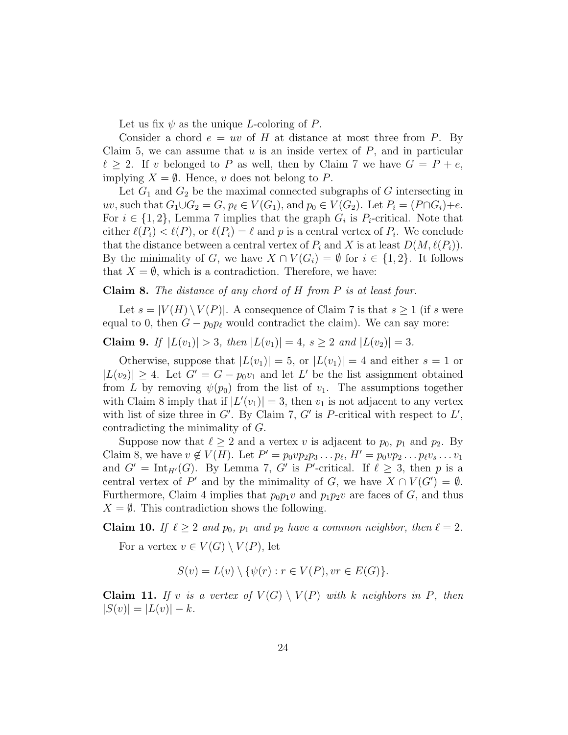Let us fix  $\psi$  as the unique L-coloring of P.

Consider a chord  $e = uv$  of H at distance at most three from P. By Claim 5, we can assume that  $u$  is an inside vertex of  $P$ , and in particular  $\ell \geq 2$ . If v belonged to P as well, then by Claim 7 we have  $G = P + e$ , implying  $X = \emptyset$ . Hence, v does not belong to P.

Let  $G_1$  and  $G_2$  be the maximal connected subgraphs of G intersecting in uv, such that  $G_1 \cup G_2 = G$ ,  $p_\ell \in V(G_1)$ , and  $p_0 \in V(G_2)$ . Let  $P_i = (P \cap G_i) + e$ . For  $i \in \{1, 2\}$ , Lemma 7 implies that the graph  $G_i$  is  $P_i$ -critical. Note that either  $\ell(P_i) < \ell(P_i)$ , or  $\ell(P_i) = \ell$  and p is a central vertex of  $P_i$ . We conclude that the distance between a central vertex of  $P_i$  and X is at least  $D(M, \ell(P_i))$ . By the minimality of G, we have  $X \cap V(G_i) = \emptyset$  for  $i \in \{1,2\}$ . It follows that  $X = \emptyset$ , which is a contradiction. Therefore, we have:

### Claim 8. The distance of any chord of H from P is at least four.

Let  $s = |V(H) \setminus V(P)|$ . A consequence of Claim 7 is that  $s \geq 1$  (if s were equal to 0, then  $G - p_0 p_\ell$  would contradict the claim). We can say more:

Claim 9. If  $|L(v_1)| > 3$ , then  $|L(v_1)| = 4$ ,  $s \ge 2$  and  $|L(v_2)| = 3$ .

Otherwise, suppose that  $|L(v_1)| = 5$ , or  $|L(v_1)| = 4$  and either  $s = 1$  or  $|L(v_2)| \geq 4$ . Let  $G' = G - p_0 v_1$  and let L' be the list assignment obtained from L by removing  $\psi(p_0)$  from the list of  $v_1$ . The assumptions together with Claim 8 imply that if  $|L'(v_1)| = 3$ , then  $v_1$  is not adjacent to any vertex with list of size three in  $G'$ . By Claim 7,  $G'$  is P-critical with respect to  $L'$ , contradicting the minimality of G.

Suppose now that  $\ell \geq 2$  and a vertex v is adjacent to  $p_0$ ,  $p_1$  and  $p_2$ . By Claim 8, we have  $v \notin V(H)$ . Let  $P' = p_0 v p_2 p_3 \dots p_\ell$ ,  $H' = p_0 v p_2 \dots p_\ell v_s \dots v_1$ and  $G' = \text{Int}_{H'}(G)$ . By Lemma 7, G' is P'-critical. If  $\ell \geq 3$ , then p is a central vertex of P' and by the minimality of G, we have  $X \cap V(G') = \emptyset$ . Furthermore, Claim 4 implies that  $p_0p_1v$  and  $p_1p_2v$  are faces of G, and thus  $X = \emptyset$ . This contradiction shows the following.

Claim 10. If  $\ell \geq 2$  and  $p_0$ ,  $p_1$  and  $p_2$  have a common neighbor, then  $\ell = 2$ . For a vertex  $v \in V(G) \setminus V(P)$ , let

$$
S(v) = L(v) \setminus \{ \psi(r) : r \in V(P), vr \in E(G) \}.
$$

**Claim 11.** If v is a vertex of  $V(G) \setminus V(P)$  with k neighbors in P, then  $|S(v)| = |L(v)| - k.$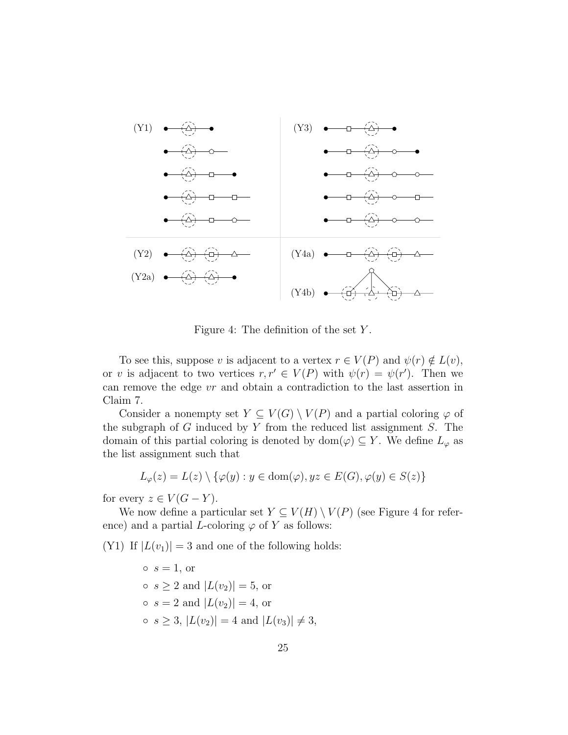

Figure 4: The definition of the set Y .

To see this, suppose v is adjacent to a vertex  $r \in V(P)$  and  $\psi(r) \notin L(v)$ , or v is adjacent to two vertices  $r, r' \in V(P)$  with  $\psi(r) = \psi(r')$ . Then we can remove the edge vr and obtain a contradiction to the last assertion in Claim 7.

Consider a nonempty set  $Y \subseteq V(G) \setminus V(P)$  and a partial coloring  $\varphi$  of the subgraph of  $G$  induced by  $Y$  from the reduced list assignment  $S$ . The domain of this partial coloring is denoted by dom $(\varphi) \subseteq Y$ . We define  $L_{\varphi}$  as the list assignment such that

$$
L_{\varphi}(z) = L(z) \setminus \{ \varphi(y) : y \in \text{dom}(\varphi), yz \in E(G), \varphi(y) \in S(z) \}
$$

for every  $z \in V(G - Y)$ .

We now define a particular set  $Y \subseteq V(H) \setminus V(P)$  (see Figure 4 for reference) and a partial *L*-coloring  $\varphi$  of Y as follows:

(Y1) If  $|L(v_1)| = 3$  and one of the following holds:

 $s = 1$ , or  $\circ$  s > 2 and  $|L(v_2)| = 5$ , or  $s = 2$  and  $|L(v_2)| = 4$ , or  $\circ$   $s \geq 3$ ,  $|L(v_2)| = 4$  and  $|L(v_3)| \neq 3$ ,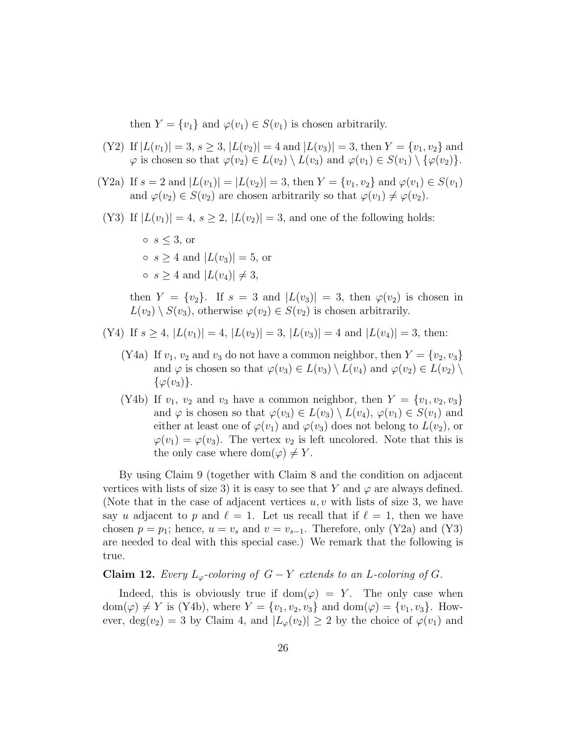then  $Y = \{v_1\}$  and  $\varphi(v_1) \in S(v_1)$  is chosen arbitrarily.

- (Y2) If  $|L(v_1)| = 3$ ,  $s \ge 3$ ,  $|L(v_2)| = 4$  and  $|L(v_3)| = 3$ , then  $Y = \{v_1, v_2\}$  and  $\varphi$  is chosen so that  $\varphi(v_2) \in L(v_2) \setminus L(v_3)$  and  $\varphi(v_1) \in S(v_1) \setminus {\varphi(v_2)}$ .
- (Y2a) If  $s = 2$  and  $|L(v_1)| = |L(v_2)| = 3$ , then  $Y = \{v_1, v_2\}$  and  $\varphi(v_1) \in S(v_1)$ and  $\varphi(v_2) \in S(v_2)$  are chosen arbitrarily so that  $\varphi(v_1) \neq \varphi(v_2)$ .
- (Y3) If  $|L(v_1)| = 4$ ,  $s \geq 2$ ,  $|L(v_2)| = 3$ , and one of the following holds:
	- $\circ$  s  $\leq 3$ , or  $\circ$  s > 4 and  $|L(v_3)| = 5$ , or  $\circ$  s  $\geq 4$  and  $|L(v_4)| \neq 3$ ,

then  $Y = \{v_2\}$ . If  $s = 3$  and  $|L(v_3)| = 3$ , then  $\varphi(v_2)$  is chosen in  $L(v_2) \setminus S(v_3)$ , otherwise  $\varphi(v_2) \in S(v_2)$  is chosen arbitrarily.

- (Y4) If  $s \geq 4$ ,  $|L(v_1)| = 4$ ,  $|L(v_2)| = 3$ ,  $|L(v_3)| = 4$  and  $|L(v_4)| = 3$ , then:
	- (Y4a) If  $v_1$ ,  $v_2$  and  $v_3$  do not have a common neighbor, then  $Y = \{v_2, v_3\}$ and  $\varphi$  is chosen so that  $\varphi(v_3) \in L(v_3) \setminus L(v_4)$  and  $\varphi(v_2) \in L(v_2) \setminus L(v_4)$  $\{\varphi(v_3)\}.$
	- (Y4b) If  $v_1$ ,  $v_2$  and  $v_3$  have a common neighbor, then  $Y = \{v_1, v_2, v_3\}$ and  $\varphi$  is chosen so that  $\varphi(v_3) \in L(v_3) \setminus L(v_4)$ ,  $\varphi(v_1) \in S(v_1)$  and either at least one of  $\varphi(v_1)$  and  $\varphi(v_3)$  does not belong to  $L(v_2)$ , or  $\varphi(v_1) = \varphi(v_3)$ . The vertex  $v_2$  is left uncolored. Note that this is the only case where dom $(\varphi) \neq Y$ .

By using Claim 9 (together with Claim 8 and the condition on adjacent vertices with lists of size 3) it is easy to see that Y and  $\varphi$  are always defined. (Note that in the case of adjacent vertices  $u, v$  with lists of size 3, we have say u adjacent to p and  $\ell = 1$ . Let us recall that if  $\ell = 1$ , then we have chosen  $p = p_1$ ; hence,  $u = v_s$  and  $v = v_{s-1}$ . Therefore, only (Y2a) and (Y3) are needed to deal with this special case.) We remark that the following is true.

Claim 12. Every  $L_{\varphi}$ -coloring of  $G - Y$  extends to an L-coloring of G.

Indeed, this is obviously true if dom $(\varphi) = Y$ . The only case when  $dom(\varphi) \neq Y$  is (Y4b), where  $Y = \{v_1, v_2, v_3\}$  and  $dom(\varphi) = \{v_1, v_3\}$ . However,  $deg(v_2) = 3$  by Claim 4, and  $|L_{\varphi}(v_2)| \geq 2$  by the choice of  $\varphi(v_1)$  and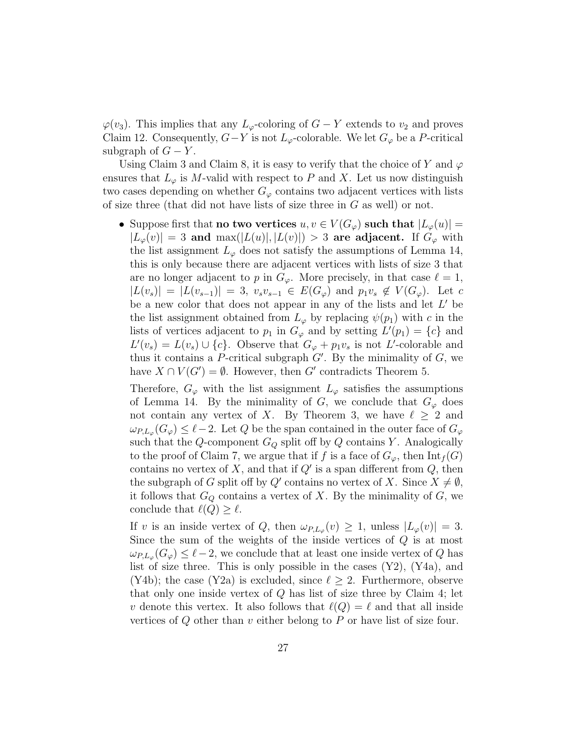$\varphi(v_3)$ . This implies that any  $L_{\varphi}$ -coloring of  $G - Y$  extends to  $v_2$  and proves Claim 12. Consequently,  $G-Y$  is not  $L_{\varphi}$ -colorable. We let  $G_{\varphi}$  be a P-critical subgraph of  $G - Y$ .

Using Claim 3 and Claim 8, it is easy to verify that the choice of Y and  $\varphi$ ensures that  $L_{\varphi}$  is M-valid with respect to P and X. Let us now distinguish two cases depending on whether  $G_{\varphi}$  contains two adjacent vertices with lists of size three (that did not have lists of size three in  $G$  as well) or not.

• Suppose first that **no two vertices**  $u, v \in V(G_\varphi)$  such that  $|L_\varphi(u)| =$  $|L_{\varphi}(v)| = 3$  and  $\max(|L(u)|, |L(v)|) > 3$  are adjacent. If  $G_{\varphi}$  with the list assignment  $L_{\varphi}$  does not satisfy the assumptions of Lemma 14, this is only because there are adjacent vertices with lists of size 3 that are no longer adjacent to p in  $G_{\varphi}$ . More precisely, in that case  $\ell = 1$ ,  $|L(v_s)| = |L(v_{s-1})| = 3$ ,  $v_s v_{s-1} \in E(G_{\varphi})$  and  $p_1 v_s \notin V(G_{\varphi})$ . Let c be a new color that does not appear in any of the lists and let  $L'$  be the list assignment obtained from  $L_{\varphi}$  by replacing  $\psi(p_1)$  with c in the lists of vertices adjacent to  $p_1$  in  $G_\varphi$  and by setting  $L'(p_1) = \{c\}$  and  $L'(v_s) = L(v_s) \cup \{c\}$ . Observe that  $G_\varphi + p_1v_s$  is not L'-colorable and thus it contains a P-critical subgraph  $G'$ . By the minimality of  $G$ , we have  $X \cap V(G') = \emptyset$ . However, then G' contradicts Theorem 5.

Therefore,  $G_{\varphi}$  with the list assignment  $L_{\varphi}$  satisfies the assumptions of Lemma 14. By the minimality of G, we conclude that  $G_{\varphi}$  does not contain any vertex of X. By Theorem 3, we have  $\ell \geq 2$  and  $\omega_{P,L_{\varphi}}(G_{\varphi}) \leq \ell - 2$ . Let Q be the span contained in the outer face of  $G_{\varphi}$ such that the Q-component  $G_Q$  split off by Q contains Y. Analogically to the proof of Claim 7, we argue that if f is a face of  $G_{\varphi}$ , then  $\mathrm{Int}_f(G)$ contains no vertex of X, and that if  $Q'$  is a span different from  $Q$ , then the subgraph of G split off by Q' contains no vertex of X. Since  $X \neq \emptyset$ , it follows that  $G_Q$  contains a vertex of X. By the minimality of  $G$ , we conclude that  $\ell(Q) \geq \ell$ .

If v is an inside vertex of Q, then  $\omega_{P,L_{\varphi}}(v) \geq 1$ , unless  $|L_{\varphi}(v)| = 3$ . Since the sum of the weights of the inside vertices of  $Q$  is at most  $\omega_{P,L_{\varphi}}(G_{\varphi}) \leq \ell-2$ , we conclude that at least one inside vertex of Q has list of size three. This is only possible in the cases (Y2), (Y4a), and (Y4b); the case (Y2a) is excluded, since  $\ell \geq 2$ . Furthermore, observe that only one inside vertex of  $Q$  has list of size three by Claim 4; let v denote this vertex. It also follows that  $\ell(Q) = \ell$  and that all inside vertices of  $Q$  other than  $v$  either belong to  $P$  or have list of size four.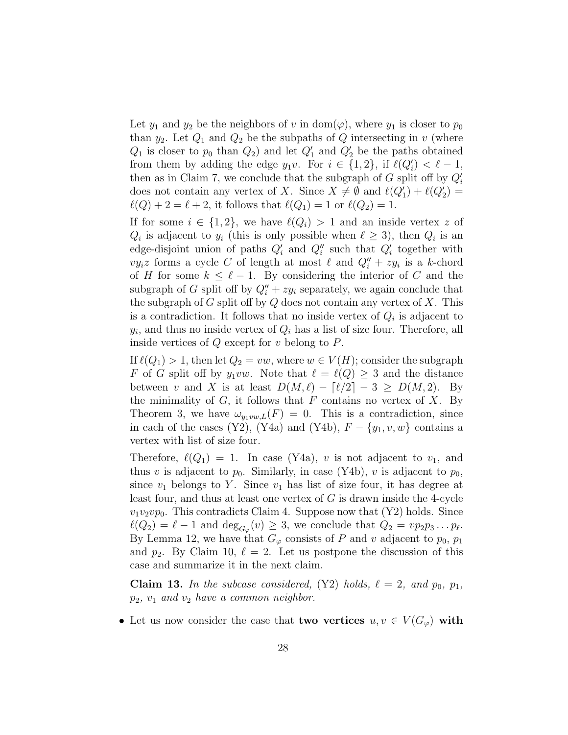Let  $y_1$  and  $y_2$  be the neighbors of v in dom( $\varphi$ ), where  $y_1$  is closer to  $p_0$ than  $y_2$ . Let  $Q_1$  and  $Q_2$  be the subpaths of  $Q$  intersecting in v (where  $Q_1$  is closer to  $p_0$  than  $Q_2$ ) and let  $Q'_1$  and  $Q'_2$  be the paths obtained from them by adding the edge  $y_1v$ . For  $i \in \{1,2\}$ , if  $\ell(Q'_i) < \ell - 1$ , then as in Claim 7, we conclude that the subgraph of  $G$  split off by  $Q_i'$ does not contain any vertex of X. Since  $X \neq \emptyset$  and  $\ell(Q'_1) + \ell(Q'_2) =$  $\ell(Q) + 2 = \ell + 2$ , it follows that  $\ell(Q_1) = 1$  or  $\ell(Q_2) = 1$ .

If for some  $i \in \{1,2\}$ , we have  $\ell(Q_i) > 1$  and an inside vertex z of  $Q_i$  is adjacent to  $y_i$  (this is only possible when  $\ell \geq 3$ ), then  $Q_i$  is an edge-disjoint union of paths  $Q_i'$  and  $Q_i''$  such that  $Q_i'$  together with  $vy_i z$  forms a cycle C of length at most  $\ell$  and  $Q''_i + zy_i$  is a k-chord of H for some  $k \leq \ell - 1$ . By considering the interior of C and the subgraph of G split off by  $Q_i'' + z y_i$  separately, we again conclude that the subgraph of G split off by  $Q$  does not contain any vertex of  $X$ . This is a contradiction. It follows that no inside vertex of  $Q_i$  is adjacent to  $y_i$ , and thus no inside vertex of  $Q_i$  has a list of size four. Therefore, all inside vertices of  $Q$  except for  $v$  belong to  $P$ .

If  $\ell(Q_1) > 1$ , then let  $Q_2 = vw$ , where  $w \in V(H)$ ; consider the subgraph F of G split off by  $y_1vw$ . Note that  $\ell = \ell(Q) \geq 3$  and the distance between v and X is at least  $D(M, \ell) - \lceil \ell/2 \rceil - 3 \geq D(M, 2)$ . By the minimality of  $G$ , it follows that  $F$  contains no vertex of  $X$ . By Theorem 3, we have  $\omega_{y_1vw,L}(F) = 0$ . This is a contradiction, since in each of the cases (Y2), (Y4a) and (Y4b),  $F - \{y_1, v, w\}$  contains a vertex with list of size four.

Therefore,  $\ell(Q_1) = 1$ . In case (Y4a), v is not adjacent to  $v_1$ , and thus v is adjacent to  $p_0$ . Similarly, in case (Y4b), v is adjacent to  $p_0$ , since  $v_1$  belongs to Y. Since  $v_1$  has list of size four, it has degree at least four, and thus at least one vertex of  $G$  is drawn inside the 4-cycle  $v_1v_2vp_0$ . This contradicts Claim 4. Suppose now that  $(Y2)$  holds. Since  $\ell(Q_2) = \ell - 1$  and  $\deg_{G_\varphi}(v) \geq 3$ , we conclude that  $Q_2 = vp_2p_3 \dots p_\ell$ . By Lemma 12, we have that  $G_{\varphi}$  consists of P and v adjacent to  $p_0$ ,  $p_1$ and  $p_2$ . By Claim 10,  $\ell = 2$ . Let us postpone the discussion of this case and summarize it in the next claim.

**Claim 13.** In the subcase considered, (Y2) holds,  $\ell = 2$ , and  $p_0$ ,  $p_1$ ,  $p_2$ ,  $v_1$  and  $v_2$  have a common neighbor.

• Let us now consider the case that **two vertices**  $u, v \in V(G_{\varphi})$  with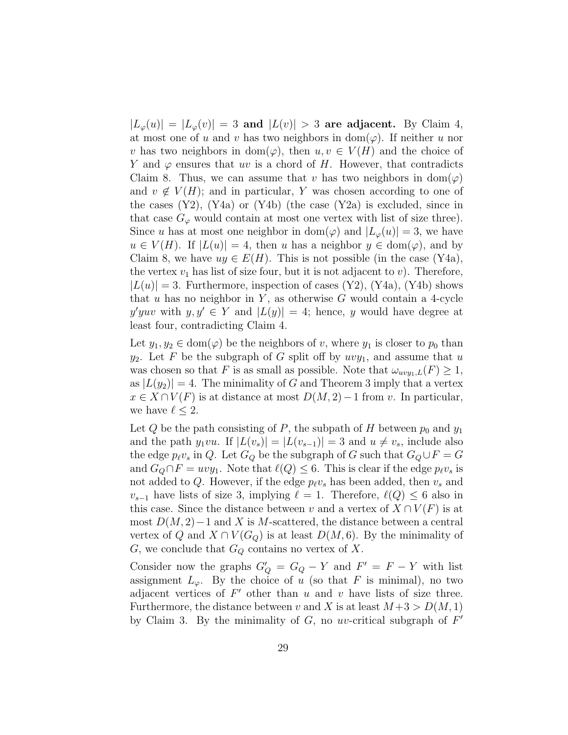$|L_{\varphi}(u)| = |L_{\varphi}(v)| = 3$  and  $|L(v)| > 3$  are adjacent. By Claim 4, at most one of u and v has two neighbors in dom( $\varphi$ ). If neither u nor v has two neighbors in dom( $\varphi$ ), then  $u, v \in V(H)$  and the choice of Y and  $\varphi$  ensures that uv is a chord of H. However, that contradicts Claim 8. Thus, we can assume that v has two neighbors in  $dom(\varphi)$ and  $v \notin V(H)$ ; and in particular, Y was chosen according to one of the cases  $(Y2)$ ,  $(Y4a)$  or  $(Y4b)$  (the case  $(Y2a)$  is excluded, since in that case  $G_{\varphi}$  would contain at most one vertex with list of size three). Since u has at most one neighbor in dom $(\varphi)$  and  $|L_{\varphi}(u)| = 3$ , we have  $u \in V(H)$ . If  $|L(u)| = 4$ , then u has a neighbor  $y \in \text{dom}(\varphi)$ , and by Claim 8, we have  $uy \in E(H)$ . This is not possible (in the case (Y4a), the vertex  $v_1$  has list of size four, but it is not adjacent to v). Therefore,  $|L(u)| = 3$ . Furthermore, inspection of cases (Y2), (Y4a), (Y4b) shows that u has no neighbor in  $Y$ , as otherwise G would contain a 4-cycle y'yuv with  $y, y' \in Y$  and  $|L(y)| = 4$ ; hence, y would have degree at least four, contradicting Claim 4.

Let  $y_1, y_2 \in \text{dom}(\varphi)$  be the neighbors of v, where  $y_1$  is closer to  $p_0$  than  $y_2$ . Let F be the subgraph of G split off by  $uvy_1$ , and assume that u was chosen so that F is as small as possible. Note that  $\omega_{uvy_1,L}(F) \geq 1$ , as  $|L(y_2)| = 4$ . The minimality of G and Theorem 3 imply that a vertex  $x \in X \cap V(F)$  is at distance at most  $D(M, 2) - 1$  from v. In particular, we have  $\ell \leq 2$ .

Let Q be the path consisting of P, the subpath of H between  $p_0$  and  $y_1$ and the path  $y_1vu$ . If  $|L(v_s)| = |L(v_{s-1})| = 3$  and  $u \neq v_s$ , include also the edge  $p_\ell v_s$  in Q. Let  $G_Q$  be the subgraph of G such that  $G_Q \cup F = G$ and  $G_Q \cap F = wvy_1$ . Note that  $\ell(Q) \leq 6$ . This is clear if the edge  $p_\ell v_s$  is not added to Q. However, if the edge  $p_{\ell}v_s$  has been added, then  $v_s$  and  $v_{s-1}$  have lists of size 3, implying  $\ell = 1$ . Therefore,  $\ell(Q) \leq 6$  also in this case. Since the distance between v and a vertex of  $X \cap V(F)$  is at most  $D(M, 2)$  – 1 and X is M-scattered, the distance between a central vertex of Q and  $X \cap V(G_Q)$  is at least  $D(M, 6)$ . By the minimality of G, we conclude that  $G_Q$  contains no vertex of X.

Consider now the graphs  $G'_{Q} = G_{Q} - Y$  and  $F' = F - Y$  with list assignment  $L_{\varphi}$ . By the choice of u (so that F is minimal), no two adjacent vertices of  $F'$  other than u and v have lists of size three. Furthermore, the distance between v and X is at least  $M+3 > D(M, 1)$ by Claim 3. By the minimality of  $G$ , no uv-critical subgraph of  $F'$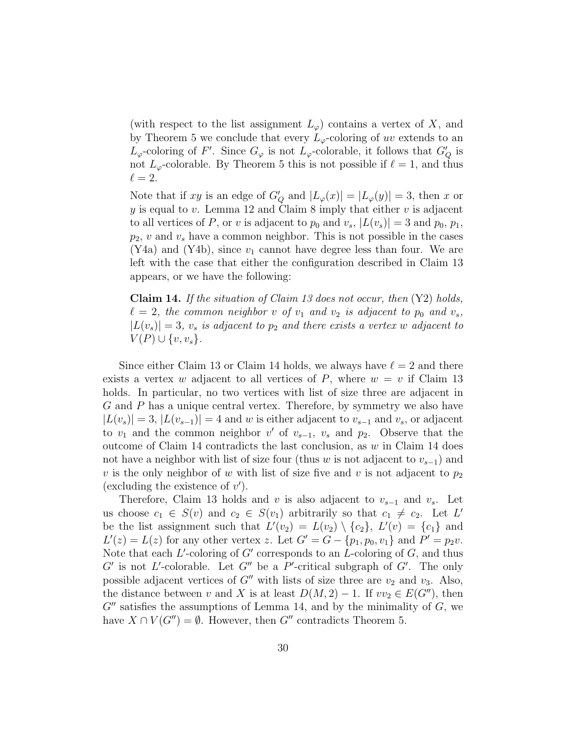(with respect to the list assignment  $L_{\varphi}$ ) contains a vertex of X, and by Theorem 5 we conclude that every  $L_{\varphi}$ -coloring of uv extends to an  $L_{\varphi}$ -coloring of F'. Since  $G_{\varphi}$  is not  $L_{\varphi}$ -colorable, it follows that  $G'_{Q}$  is not  $L_{\varphi}$ -colorable. By Theorem 5 this is not possible if  $\ell = 1$ , and thus  $\ell = 2.$ 

Note that if xy is an edge of  $G'_{Q}$  and  $|L_{\varphi}(x)| = |L_{\varphi}(y)| = 3$ , then x or  $y$  is equal to v. Lemma 12 and Claim 8 imply that either v is adjacent to all vertices of P, or v is adjacent to  $p_0$  and  $v_s$ ,  $|L(v_s)| = 3$  and  $p_0, p_1$ ,  $p_2$ , v and  $v_s$  have a common neighbor. This is not possible in the cases  $(Y4a)$  and  $(Y4b)$ , since  $v_1$  cannot have degree less than four. We are left with the case that either the configuration described in Claim 13 appears, or we have the following:

**Claim 14.** If the situation of Claim 13 does not occur, then  $(Y2)$  holds,  $\ell = 2$ , the common neighbor v of  $v_1$  and  $v_2$  is adjacent to  $p_0$  and  $v_s$ ,  $|L(v_s)| = 3$ ,  $v_s$  is adjacent to  $p_2$  and there exists a vertex w adjacent to  $V(P) \cup \{v, v_s\}.$ 

Since either Claim 13 or Claim 14 holds, we always have  $\ell = 2$  and there exists a vertex w adjacent to all vertices of P, where  $w = v$  if Claim 13 holds. In particular, no two vertices with list of size three are adjacent in G and P has a unique central vertex. Therefore, by symmetry we also have  $|L(v<sub>s</sub>)| = 3, |L(v<sub>s-1</sub>)| = 4$  and w is either adjacent to  $v<sub>s-1</sub>$  and  $v<sub>s</sub>$ , or adjacent to  $v_1$  and the common neighbor  $v'$  of  $v_{s-1}$ ,  $v_s$  and  $p_2$ . Observe that the outcome of Claim 14 contradicts the last conclusion, as  $w$  in Claim 14 does not have a neighbor with list of size four (thus w is not adjacent to  $v_{s-1}$ ) and v is the only neighbor of w with list of size five and v is not adjacent to  $p_2$ (excluding the existence of  $v'$ ).

Therefore, Claim 13 holds and v is also adjacent to  $v_{s-1}$  and  $v_s$ . Let us choose  $c_1 \in S(v)$  and  $c_2 \in S(v_1)$  arbitrarily so that  $c_1 \neq c_2$ . Let L' be the list assignment such that  $L'(v_2) = L(v_2) \setminus \{c_2\}, L'(v) = \{c_1\}$  and  $L'(z) = L(z)$  for any other vertex z. Let  $G' = G - \{p_1, p_0, v_1\}$  and  $P' = p_2v$ . Note that each  $L'$ -coloring of  $G'$  corresponds to an  $L$ -coloring of  $G$ , and thus  $G'$  is not L'-colorable. Let  $G''$  be a P'-critical subgraph of  $G'$ . The only possible adjacent vertices of  $G''$  with lists of size three are  $v_2$  and  $v_3$ . Also, the distance between v and X is at least  $D(M, 2) - 1$ . If  $vv_2 \in E(G'')$ , then  $G''$  satisfies the assumptions of Lemma 14, and by the minimality of  $G$ , we have  $X \cap V(G'') = \emptyset$ . However, then G'' contradicts Theorem 5.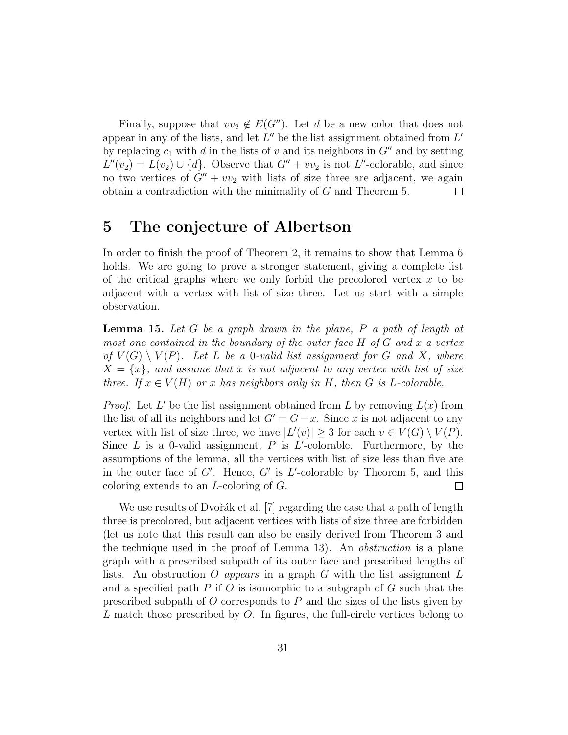Finally, suppose that  $vv_2 \notin E(G'')$ . Let d be a new color that does not appear in any of the lists, and let  $L''$  be the list assignment obtained from  $L'$ by replacing  $c_1$  with d in the lists of v and its neighbors in  $G''$  and by setting  $L''(v_2) = L(v_2) \cup \{d\}$ . Observe that  $G'' + vv_2$  is not L''-colorable, and since no two vertices of  $G'' + v v_2$  with lists of size three are adjacent, we again obtain a contradiction with the minimality of G and Theorem 5.  $\Box$ 

## 5 The conjecture of Albertson

In order to finish the proof of Theorem 2, it remains to show that Lemma 6 holds. We are going to prove a stronger statement, giving a complete list of the critical graphs where we only forbid the precolored vertex  $x$  to be adjacent with a vertex with list of size three. Let us start with a simple observation.

**Lemma 15.** Let G be a graph drawn in the plane,  $P$  a path of length at most one contained in the boundary of the outer face  $H$  of  $G$  and  $x$  a vertex of  $V(G) \setminus V(P)$ . Let L be a 0-valid list assignment for G and X, where  $X = \{x\}$ , and assume that x is not adjacent to any vertex with list of size three. If  $x \in V(H)$  or x has neighbors only in H, then G is L-colorable.

*Proof.* Let L' be the list assignment obtained from L by removing  $L(x)$  from the list of all its neighbors and let  $G' = G - x$ . Since x is not adjacent to any vertex with list of size three, we have  $|L'(v)| \geq 3$  for each  $v \in V(G) \setminus V(P)$ . Since  $L$  is a 0-valid assignment,  $P$  is  $L'$ -colorable. Furthermore, by the assumptions of the lemma, all the vertices with list of size less than five are in the outer face of  $G'$ . Hence,  $G'$  is  $L'$ -colorable by Theorem 5, and this coloring extends to an L-coloring of G.  $\Box$ 

We use results of Dvořák et al. [7] regarding the case that a path of length three is precolored, but adjacent vertices with lists of size three are forbidden (let us note that this result can also be easily derived from Theorem 3 and the technique used in the proof of Lemma 13). An obstruction is a plane graph with a prescribed subpath of its outer face and prescribed lengths of lists. An obstruction O appears in a graph G with the list assignment  $L$ and a specified path  $P$  if  $O$  is isomorphic to a subgraph of  $G$  such that the prescribed subpath of  $O$  corresponds to  $P$  and the sizes of the lists given by L match those prescribed by O. In figures, the full-circle vertices belong to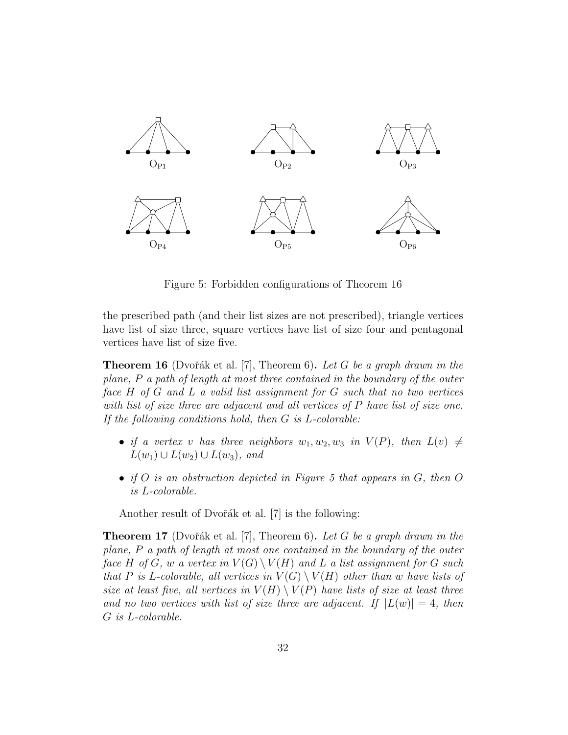

Figure 5: Forbidden configurations of Theorem 16

the prescribed path (and their list sizes are not prescribed), triangle vertices have list of size three, square vertices have list of size four and pentagonal vertices have list of size five.

**Theorem 16** (Dvořák et al. [7], Theorem 6). Let G be a graph drawn in the plane, P a path of length at most three contained in the boundary of the outer face H of G and L a valid list assignment for G such that no two vertices with list of size three are adjacent and all vertices of P have list of size one. If the following conditions hold, then G is L-colorable:

- if a vertex v has three neighbors  $w_1, w_2, w_3$  in  $V(P)$ , then  $L(v) \neq$  $L(w_1) \cup L(w_2) \cup L(w_3)$ , and
- if O is an obstruction depicted in Figure 5 that appears in  $G$ , then  $O$ is L-colorable.

Another result of Dvořák et al.  $[7]$  is the following:

**Theorem 17** (Dvořák et al. [7], Theorem 6). Let G be a graph drawn in the plane, P a path of length at most one contained in the boundary of the outer face H of G, w a vertex in  $V(G) \setminus V(H)$  and L a list assignment for G such that P is L-colorable, all vertices in  $V(G) \setminus V(H)$  other than w have lists of size at least five, all vertices in  $V(H) \setminus V(P)$  have lists of size at least three and no two vertices with list of size three are adjacent. If  $|L(w)| = 4$ , then G is L-colorable.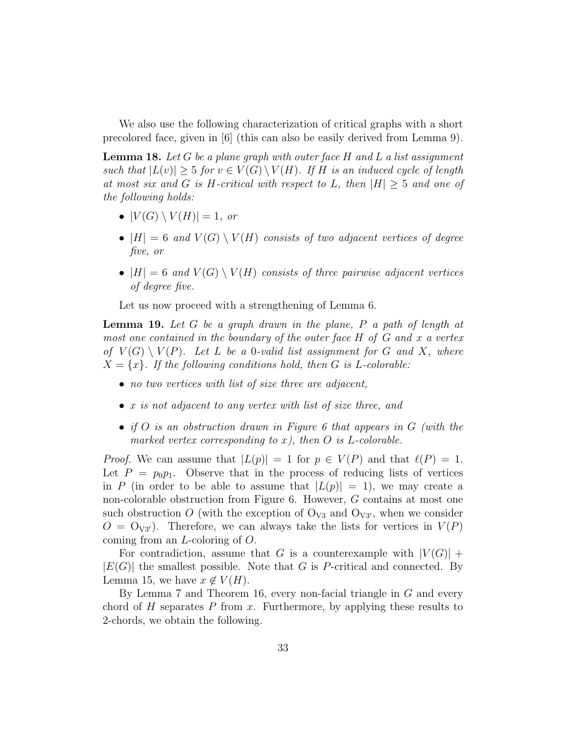We also use the following characterization of critical graphs with a short precolored face, given in [6] (this can also be easily derived from Lemma 9).

**Lemma 18.** Let G be a plane graph with outer face H and L a list assignment such that  $|L(v)| \geq 5$  for  $v \in V(G) \setminus V(H)$ . If H is an induced cycle of length at most six and G is H-critical with respect to L, then  $|H| \geq 5$  and one of the following holds:

- $\bullet$   $|V(G) \setminus V(H)| = 1$ , or
- $|H| = 6$  and  $V(G) \setminus V(H)$  consists of two adjacent vertices of degree five, or
- $|H| = 6$  and  $V(G) \setminus V(H)$  consists of three pairwise adjacent vertices of degree five.

Let us now proceed with a strengthening of Lemma 6.

**Lemma 19.** Let  $G$  be a graph drawn in the plane,  $P$  a path of length at most one contained in the boundary of the outer face H of G and x a vertex of  $V(G) \setminus V(P)$ . Let L be a 0-valid list assignment for G and X, where  $X = \{x\}$ . If the following conditions hold, then G is L-colorable:

- no two vertices with list of size three are adjacent,
- $x$  is not adjacent to any vertex with list of size three, and
- if O is an obstruction drawn in Figure 6 that appears in G (with the marked vertex corresponding to x), then  $O$  is L-colorable.

*Proof.* We can assume that  $|L(p)| = 1$  for  $p \in V(P)$  and that  $\ell(P) = 1$ . Let  $P = p_0 p_1$ . Observe that in the process of reducing lists of vertices in P (in order to be able to assume that  $|L(p)| = 1$ ), we may create a non-colorable obstruction from Figure 6. However, G contains at most one such obstruction O (with the exception of  $O_{V3}$  and  $O_{V3'}$ , when we consider  $O = \mathrm{O}_{V3'}$ . Therefore, we can always take the lists for vertices in  $V(P)$ coming from an L-coloring of O.

For contradiction, assume that G is a counterexample with  $|V(G)| +$  $|E(G)|$  the smallest possible. Note that G is P-critical and connected. By Lemma 15, we have  $x \notin V(H)$ .

By Lemma 7 and Theorem 16, every non-facial triangle in G and every chord of  $H$  separates  $P$  from  $x$ . Furthermore, by applying these results to 2-chords, we obtain the following.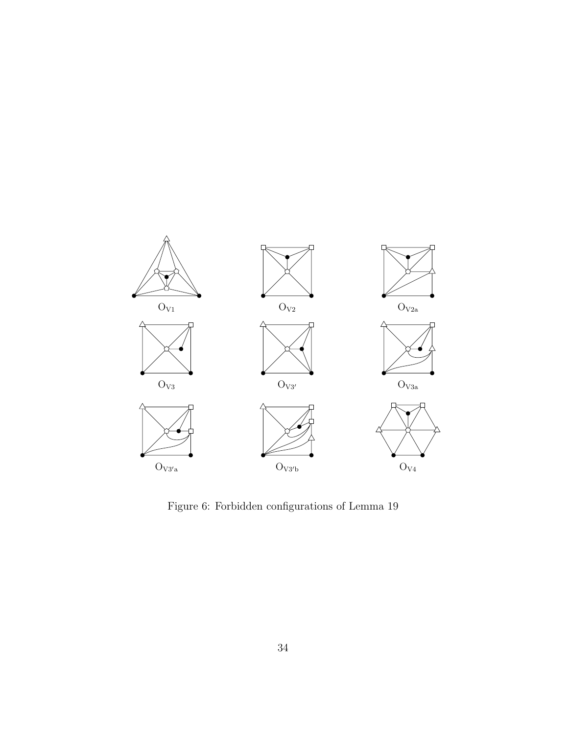

Figure 6: Forbidden configurations of Lemma 19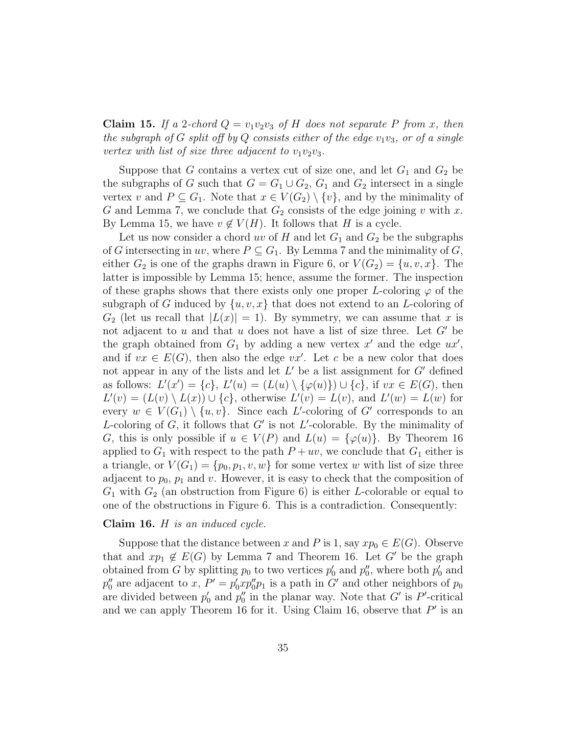**Claim 15.** If a 2-chord  $Q = v_1v_2v_3$  of H does not separate P from x, then the subgraph of G split off by Q consists either of the edge  $v_1v_3$ , or of a single vertex with list of size three adjacent to  $v_1v_2v_3$ .

Suppose that G contains a vertex cut of size one, and let  $G_1$  and  $G_2$  be the subgraphs of G such that  $G = G_1 \cup G_2$ ,  $G_1$  and  $G_2$  intersect in a single vertex v and  $P \subseteq G_1$ . Note that  $x \in V(G_2) \setminus \{v\}$ , and by the minimality of G and Lemma 7, we conclude that  $G_2$  consists of the edge joining v with x. By Lemma 15, we have  $v \notin V(H)$ . It follows that H is a cycle.

Let us now consider a chord uv of H and let  $G_1$  and  $G_2$  be the subgraphs of G intersecting in uv, where  $P \subseteq G_1$ . By Lemma 7 and the minimality of G, either  $G_2$  is one of the graphs drawn in Figure 6, or  $V(G_2) = \{u, v, x\}$ . The latter is impossible by Lemma 15; hence, assume the former. The inspection of these graphs shows that there exists only one proper L-coloring  $\varphi$  of the subgraph of G induced by  $\{u, v, x\}$  that does not extend to an L-coloring of  $G_2$  (let us recall that  $|L(x)| = 1$ ). By symmetry, we can assume that x is not adjacent to u and that u does not have a list of size three. Let  $G'$  be the graph obtained from  $G_1$  by adding a new vertex  $x'$  and the edge  $ux'$ , and if  $vx \in E(G)$ , then also the edge  $vx'$ . Let c be a new color that does not appear in any of the lists and let  $L'$  be a list assignment for  $G'$  defined as follows:  $L'(x') = \{c\}, L'(u) = (L(u) \setminus {\varphi(u)} \cup \{c\}, \text{ if } vx \in E(G), \text{ then}$  $L'(v) = (L(v) \setminus L(x)) \cup \{c\}$ , otherwise  $L'(v) = L(v)$ , and  $L'(w) = L(w)$  for every  $w \in V(G_1) \setminus \{u, v\}$ . Since each L'-coloring of G' corresponds to an L-coloring of  $G$ , it follows that  $G'$  is not L'-colorable. By the minimality of G, this is only possible if  $u \in V(P)$  and  $L(u) = {\varphi(u)}$ . By Theorem 16 applied to  $G_1$  with respect to the path  $P + uv$ , we conclude that  $G_1$  either is a triangle, or  $V(G_1) = \{p_0, p_1, v, w\}$  for some vertex w with list of size three adjacent to  $p_0$ ,  $p_1$  and v. However, it is easy to check that the composition of  $G_1$  with  $G_2$  (an obstruction from Figure 6) is either L-colorable or equal to one of the obstructions in Figure 6. This is a contradiction. Consequently:

#### Claim 16. H is an induced cycle.

Suppose that the distance between x and P is 1, say  $xp_0 \in E(G)$ . Observe that and  $xp_1 \notin E(G)$  by Lemma 7 and Theorem 16. Let G' be the graph obtained from G by splitting  $p_0$  to two vertices  $p'_0$  and  $p''_0$ , where both  $p'_0$  and  $p_0''$  are adjacent to x,  $P' = p_0' x p_0'' p_1$  is a path in G' and other neighbors of  $p_0$ are divided between  $p'_0$  and  $p''_0$  in the planar way. Note that  $G'$  is P'-critical and we can apply Theorem 16 for it. Using Claim 16, observe that  $P'$  is an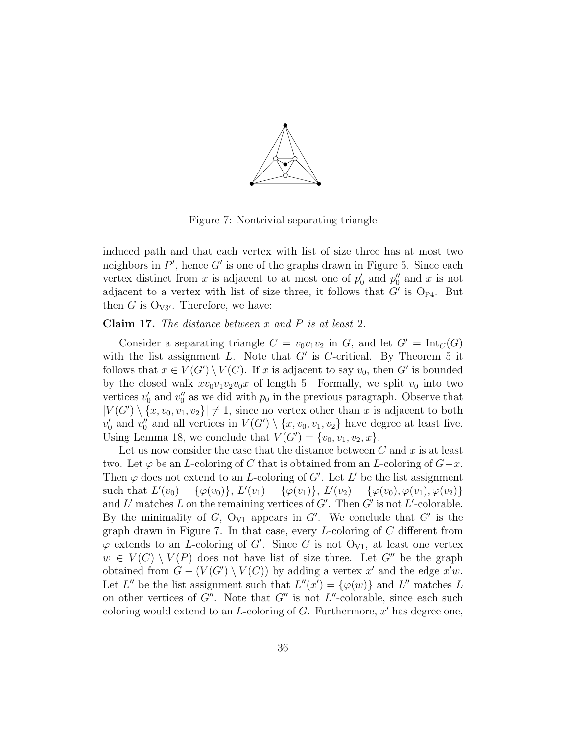

Figure 7: Nontrivial separating triangle

induced path and that each vertex with list of size three has at most two neighbors in  $P'$ , hence  $G'$  is one of the graphs drawn in Figure 5. Since each vertex distinct from x is adjacent to at most one of  $p'_0$  and  $p''_0$  and x is not adjacent to a vertex with list of size three, it follows that  $G'$  is  $O_{P4}$ . But then G is  $O_{V3'}$ . Therefore, we have:

**Claim 17.** The distance between  $x$  and  $P$  is at least 2.

Consider a separating triangle  $C = v_0v_1v_2$  in G, and let  $G' = \text{Int}_C(G)$ with the list assignment L. Note that  $G'$  is C-critical. By Theorem 5 it follows that  $x \in V(G') \setminus V(C)$ . If x is adjacent to say  $v_0$ , then G' is bounded by the closed walk  $xv_0v_1v_2v_0x$  of length 5. Formally, we split  $v_0$  into two vertices  $v'_0$  and  $v''_0$  as we did with  $p_0$  in the previous paragraph. Observe that  $|V(G') \setminus \{x, v_0, v_1, v_2\}| \neq 1$ , since no vertex other than x is adjacent to both  $v'_0$  and  $v''_0$  and all vertices in  $V(G') \setminus \{x, v_0, v_1, v_2\}$  have degree at least five. Using Lemma 18, we conclude that  $V(G') = \{v_0, v_1, v_2, x\}.$ 

Let us now consider the case that the distance between  $C$  and  $x$  is at least two. Let  $\varphi$  be an *L*-coloring of C that is obtained from an *L*-coloring of  $G-x$ . Then  $\varphi$  does not extend to an *L*-coloring of G'. Let L' be the list assignment such that  $L'(v_0) = \{\varphi(v_0)\},\ L'(v_1) = \{\varphi(v_1)\},\ L'(v_2) = \{\varphi(v_0), \varphi(v_1), \varphi(v_2)\}\$ and L' matches L on the remaining vertices of  $G'$ . Then  $G'$  is not L'-colorable. By the minimality of  $G$ ,  $O_{V1}$  appears in  $G'$ . We conclude that  $G'$  is the graph drawn in Figure 7. In that case, every  $L$ -coloring of  $C$  different from  $\varphi$  extends to an *L*-coloring of *G'*. Since *G* is not  $O_{V1}$ , at least one vertex  $w \in V(C) \setminus V(P)$  does not have list of size three. Let G'' be the graph obtained from  $G - (V(G') \setminus V(C))$  by adding a vertex x' and the edge x'w. Let L'' be the list assignment such that  $L''(x') = {\varphi(w)}$  and L'' matches L on other vertices of  $G''$ . Note that  $G''$  is not  $L''$ -colorable, since each such coloring would extend to an  $L$ -coloring of  $G$ . Furthermore,  $x'$  has degree one,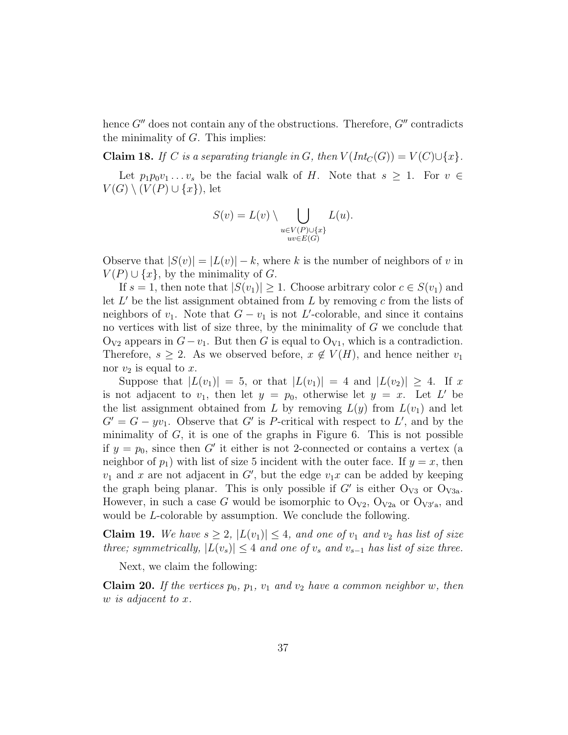hence  $G''$  does not contain any of the obstructions. Therefore,  $G''$  contradicts the minimality of  $G$ . This implies:

Claim 18. If C is a separating triangle in G, then  $V(Int_C(G)) = V(C) \cup \{x\}.$ 

Let  $p_1p_0v_1 \ldots v_s$  be the facial walk of H. Note that  $s \geq 1$ . For  $v \in$  $V(G) \setminus (V(P) \cup \{x\})$ , let

$$
S(v) = L(v) \setminus \bigcup_{\substack{u \in V(P) \cup \{x\} \\ uv \in E(G)}} L(u).
$$

Observe that  $|S(v)| = |L(v)| - k$ , where k is the number of neighbors of v in  $V(P) \cup \{x\}$ , by the minimality of G.

If  $s = 1$ , then note that  $|S(v_1)| \geq 1$ . Choose arbitrary color  $c \in S(v_1)$  and let  $L'$  be the list assignment obtained from  $L$  by removing  $c$  from the lists of neighbors of  $v_1$ . Note that  $G - v_1$  is not L'-colorable, and since it contains no vertices with list of size three, by the minimality of  $G$  we conclude that  $O_{V2}$  appears in  $G-v_1$ . But then G is equal to  $O_{V1}$ , which is a contradiction. Therefore,  $s \geq 2$ . As we observed before,  $x \notin V(H)$ , and hence neither  $v_1$ nor  $v_2$  is equal to x.

Suppose that  $|L(v_1)| = 5$ , or that  $|L(v_1)| = 4$  and  $|L(v_2)| \geq 4$ . If x is not adjacent to  $v_1$ , then let  $y = p_0$ , otherwise let  $y = x$ . Let L' be the list assignment obtained from L by removing  $L(y)$  from  $L(v_1)$  and let  $G' = G - yv_1$ . Observe that G' is P-critical with respect to L', and by the minimality of  $G$ , it is one of the graphs in Figure 6. This is not possible if  $y = p_0$ , since then G' it either is not 2-connected or contains a vertex (a neighbor of  $p_1$ ) with list of size 5 incident with the outer face. If  $y = x$ , then  $v_1$  and x are not adjacent in G', but the edge  $v_1x$  can be added by keeping the graph being planar. This is only possible if  $G'$  is either  $O_{V3}$  or  $O_{V3a}$ . However, in such a case G would be isomorphic to  $O_{V2}$ ,  $O_{V2a}$  or  $O_{V3'a}$ , and would be *L*-colorable by assumption. We conclude the following.

**Claim 19.** We have  $s \geq 2$ ,  $|L(v_1)| \leq 4$ , and one of  $v_1$  and  $v_2$  has list of size three; symmetrically,  $|L(v_s)|$  ≤ 4 and one of  $v_s$  and  $v_{s-1}$  has list of size three.

Next, we claim the following:

**Claim 20.** If the vertices  $p_0$ ,  $p_1$ ,  $v_1$  and  $v_2$  have a common neighbor w, then w is adjacent to x.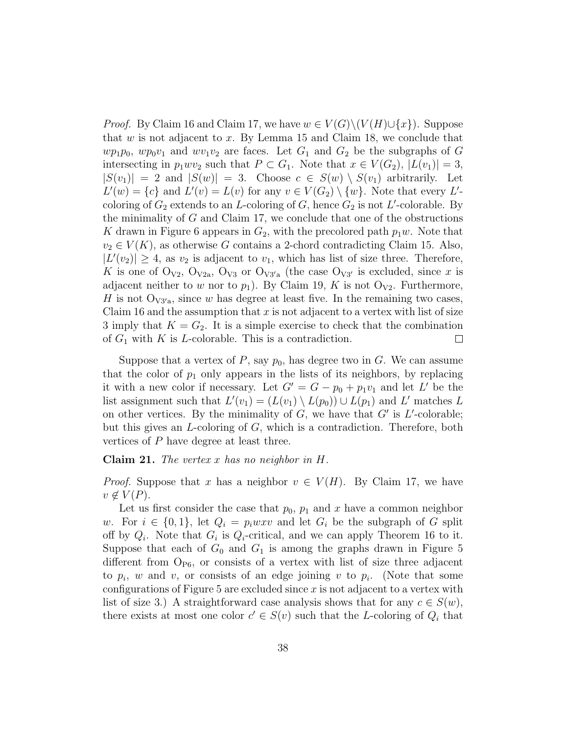*Proof.* By Claim 16 and Claim 17, we have  $w \in V(G) \setminus (V(H) \cup \{x\})$ . Suppose that  $w$  is not adjacent to  $x$ . By Lemma 15 and Claim 18, we conclude that  $wp_1p_0$ ,  $wp_0v_1$  and  $wv_1v_2$  are faces. Let  $G_1$  and  $G_2$  be the subgraphs of G intersecting in  $p_1wv_2$  such that  $P \subset G_1$ . Note that  $x \in V(G_2), |L(v_1)| = 3$ ,  $|S(v_1)| = 2$  and  $|S(w)| = 3$ . Choose  $c \in S(w) \setminus S(v_1)$  arbitrarily. Let  $L'(w) = \{c\}$  and  $L'(v) = L(v)$  for any  $v \in V(G_2) \setminus \{w\}$ . Note that every  $L'$ coloring of  $G_2$  extends to an L-coloring of G, hence  $G_2$  is not L'-colorable. By the minimality of  $G$  and Claim 17, we conclude that one of the obstructions K drawn in Figure 6 appears in  $G_2$ , with the precolored path  $p_1w$ . Note that  $v_2 \in V(K)$ , as otherwise G contains a 2-chord contradicting Claim 15. Also,  $|L'(v_2)| \geq 4$ , as  $v_2$  is adjacent to  $v_1$ , which has list of size three. Therefore, K is one of  $O_{V2}$ ,  $O_{V2a}$ ,  $O_{V3}$  or  $O_{V3'a}$  (the case  $O_{V3'}$  is excluded, since x is adjacent neither to w nor to  $p_1$ ). By Claim 19, K is not O<sub>V2</sub>. Furthermore, H is not  $\mathcal{O}_{V3/a}$ , since w has degree at least five. In the remaining two cases, Claim 16 and the assumption that  $x$  is not adjacent to a vertex with list of size 3 imply that  $K = G_2$ . It is a simple exercise to check that the combination of  $G_1$  with K is L-colorable. This is a contradiction.  $\Box$ 

Suppose that a vertex of  $P$ , say  $p_0$ , has degree two in  $G$ . We can assume that the color of  $p_1$  only appears in the lists of its neighbors, by replacing it with a new color if necessary. Let  $G' = G - p_0 + p_1v_1$  and let L' be the list assignment such that  $L'(v_1) = (L(v_1) \setminus L(p_0)) \cup L(p_1)$  and  $L'$  matches L on other vertices. By the minimality of  $G$ , we have that  $G'$  is  $L'$ -colorable; but this gives an L-coloring of G, which is a contradiction. Therefore, both vertices of P have degree at least three.

**Claim 21.** The vertex x has no neighbor in  $H$ .

*Proof.* Suppose that x has a neighbor  $v \in V(H)$ . By Claim 17, we have  $v \notin V(P)$ .

Let us first consider the case that  $p_0$ ,  $p_1$  and x have a common neighbor w. For  $i \in \{0,1\}$ , let  $Q_i = p_i w x v$  and let  $G_i$  be the subgraph of G split off by  $Q_i$ . Note that  $G_i$  is  $Q_i$ -critical, and we can apply Theorem 16 to it. Suppose that each of  $G_0$  and  $G_1$  is among the graphs drawn in Figure 5 different from  $O_{P6}$ , or consists of a vertex with list of size three adjacent to  $p_i$ , w and v, or consists of an edge joining v to  $p_i$ . (Note that some configurations of Figure 5 are excluded since  $x$  is not adjacent to a vertex with list of size 3.) A straightforward case analysis shows that for any  $c \in S(w)$ , there exists at most one color  $c' \in S(v)$  such that the L-coloring of  $Q_i$  that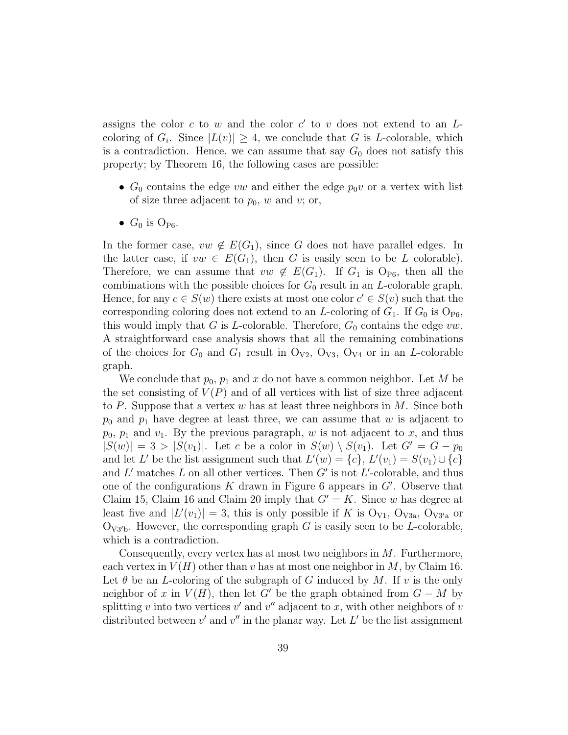assigns the color  $c$  to  $w$  and the color  $c'$  to  $v$  does not extend to an  $L$ coloring of  $G_i$ . Since  $|L(v)| \geq 4$ , we conclude that G is L-colorable, which is a contradiction. Hence, we can assume that say  $G_0$  does not satisfy this property; by Theorem 16, the following cases are possible:

- $G_0$  contains the edge vw and either the edge  $p_0v$  or a vertex with list of size three adjacent to  $p_0$ , w and v; or,
- $G_0$  is  $O_{\text{P6}}$ .

In the former case,  $vw \notin E(G_1)$ , since G does not have parallel edges. In the latter case, if  $vw \in E(G_1)$ , then G is easily seen to be L colorable). Therefore, we can assume that  $vw \notin E(G_1)$ . If  $G_1$  is  $O_{P6}$ , then all the combinations with the possible choices for  $G_0$  result in an *L*-colorable graph. Hence, for any  $c \in S(w)$  there exists at most one color  $c' \in S(v)$  such that the corresponding coloring does not extend to an L-coloring of  $G_1$ . If  $G_0$  is  $O_{\text{P6}}$ , this would imply that G is L-colorable. Therefore,  $G_0$  contains the edge vw. A straightforward case analysis shows that all the remaining combinations of the choices for  $G_0$  and  $G_1$  result in  $O_{V2}$ ,  $O_{V3}$ ,  $O_{V4}$  or in an *L*-colorable graph.

We conclude that  $p_0$ ,  $p_1$  and x do not have a common neighbor. Let M be the set consisting of  $V(P)$  and of all vertices with list of size three adjacent to P. Suppose that a vertex w has at least three neighbors in  $M$ . Since both  $p_0$  and  $p_1$  have degree at least three, we can assume that w is adjacent to  $p_0$ ,  $p_1$  and  $v_1$ . By the previous paragraph, w is not adjacent to x, and thus  $|S(w)| = 3 > |S(v_1)|$ . Let c be a color in  $S(w) \setminus S(v_1)$ . Let  $G' = G - p_0$ and let L' be the list assignment such that  $L'(w) = \{c\}, L'(v_1) = S(v_1) \cup \{c\}$ and L' matches L on all other vertices. Then  $G'$  is not L'-colorable, and thus one of the configurations K drawn in Figure 6 appears in  $G'$ . Observe that Claim 15, Claim 16 and Claim 20 imply that  $G' = K$ . Since w has degree at least five and  $|L'(v_1)| = 3$ , this is only possible if K is  $O_{V1}$ ,  $O_{V3a}$ ,  $O_{V3'a}$  or  $O_{V3'b}$ . However, the corresponding graph G is easily seen to be L-colorable, which is a contradiction.

Consequently, every vertex has at most two neighbors in M. Furthermore, each vertex in  $V(H)$  other than v has at most one neighbor in M, by Claim 16. Let  $\theta$  be an L-coloring of the subgraph of G induced by M. If v is the only neighbor of x in  $V(H)$ , then let G' be the graph obtained from  $G - M$  by splitting v into two vertices  $v'$  and  $v''$  adjacent to x, with other neighbors of v distributed between  $v'$  and  $v''$  in the planar way. Let  $L'$  be the list assignment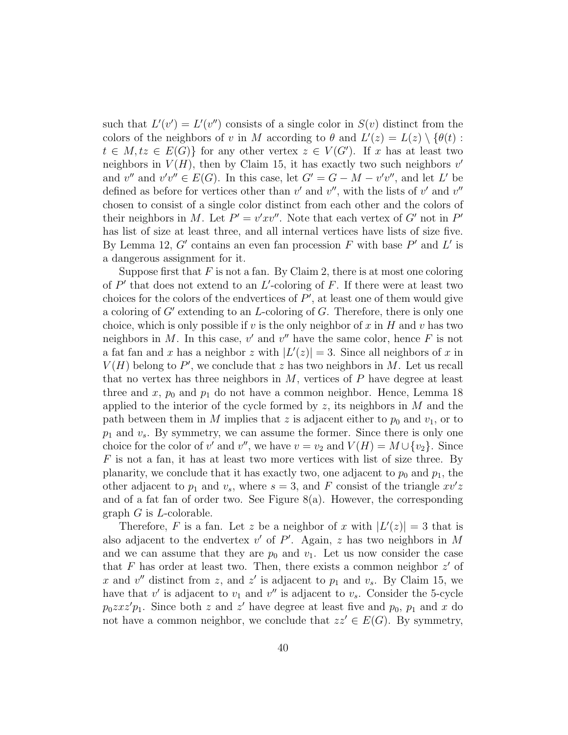such that  $L'(v') = L'(v'')$  consists of a single color in  $S(v)$  distinct from the colors of the neighbors of v in M according to  $\theta$  and  $L'(z) = L(z) \setminus {\theta(t)}$ :  $t \in M$ ,  $tz \in E(G)$  for any other vertex  $z \in V(G')$ . If x has at least two neighbors in  $V(H)$ , then by Claim 15, it has exactly two such neighbors  $v'$ and  $v''$  and  $v'v'' \in E(G)$ . In this case, let  $G' = G - M - v'v''$ , and let L' be defined as before for vertices other than  $v'$  and  $v''$ , with the lists of  $v'$  and  $v''$ chosen to consist of a single color distinct from each other and the colors of their neighbors in M. Let  $P' = v'xv''$ . Note that each vertex of G' not in  $P'$ has list of size at least three, and all internal vertices have lists of size five. By Lemma 12, G' contains an even fan procession F with base  $P'$  and L' is a dangerous assignment for it.

Suppose first that  $F$  is not a fan. By Claim 2, there is at most one coloring of  $P'$  that does not extend to an  $L'$ -coloring of F. If there were at least two choices for the colors of the endvertices of  $P'$ , at least one of them would give a coloring of  $G'$  extending to an L-coloring of  $G$ . Therefore, there is only one choice, which is only possible if  $v$  is the only neighbor of  $x$  in  $H$  and  $v$  has two neighbors in M. In this case,  $v'$  and  $v''$  have the same color, hence F is not a fat fan and x has a neighbor z with  $|L'(z)| = 3$ . Since all neighbors of x in  $V(H)$  belong to P', we conclude that z has two neighbors in M. Let us recall that no vertex has three neighbors in  $M$ , vertices of  $P$  have degree at least three and x,  $p_0$  and  $p_1$  do not have a common neighbor. Hence, Lemma 18 applied to the interior of the cycle formed by  $z$ , its neighbors in  $M$  and the path between them in M implies that z is adjacent either to  $p_0$  and  $v_1$ , or to  $p_1$  and  $v_s$ . By symmetry, we can assume the former. Since there is only one choice for the color of v' and v'', we have  $v = v_2$  and  $V(H) = M \cup \{v_2\}$ . Since  $F$  is not a fan, it has at least two more vertices with list of size three. By planarity, we conclude that it has exactly two, one adjacent to  $p_0$  and  $p_1$ , the other adjacent to  $p_1$  and  $v_s$ , where  $s = 3$ , and F consist of the triangle  $xv'z$ and of a fat fan of order two. See Figure  $8(a)$ . However, the corresponding graph  $G$  is  $L$ -colorable.

Therefore, F is a fan. Let z be a neighbor of x with  $|L'(z)| = 3$  that is also adjacent to the endvertex  $v'$  of  $P'$ . Again, z has two neighbors in M and we can assume that they are  $p_0$  and  $v_1$ . Let us now consider the case that F has order at least two. Then, there exists a common neighbor  $z'$  of x and  $v''$  distinct from z, and z' is adjacent to  $p_1$  and  $v_s$ . By Claim 15, we have that  $v'$  is adjacent to  $v_1$  and  $v''$  is adjacent to  $v_s$ . Consider the 5-cycle  $p_0 z x z' p_1$ . Since both z and z' have degree at least five and  $p_0$ ,  $p_1$  and x do not have a common neighbor, we conclude that  $zz' \in E(G)$ . By symmetry,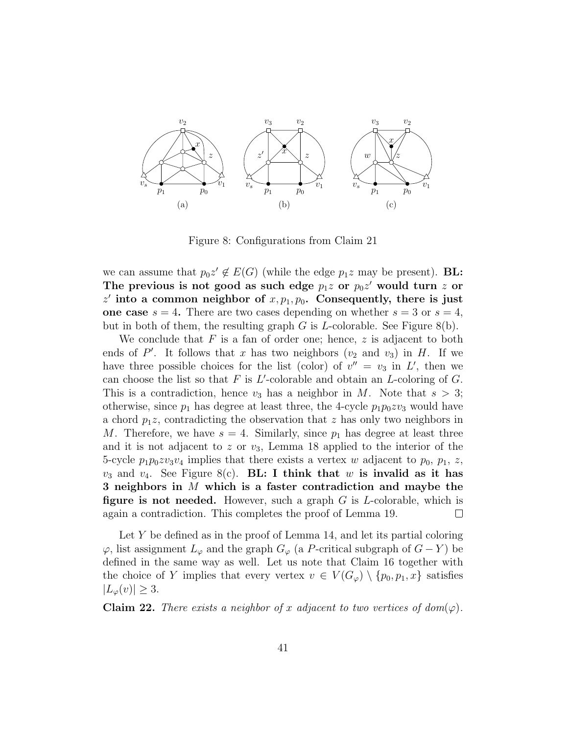

Figure 8: Configurations from Claim 21

we can assume that  $p_0z' \notin E(G)$  (while the edge  $p_1z$  may be present). **BL:** The previous is not good as such edge  $p_1z$  or  $p_0z'$  would turn  $z$  or  $z'$  into a common neighbor of  $x, p_1, p_0$ . Consequently, there is just one case  $s = 4$ . There are two cases depending on whether  $s = 3$  or  $s = 4$ , but in both of them, the resulting graph  $G$  is *L*-colorable. See Figure 8(b).

We conclude that  $F$  is a fan of order one; hence,  $z$  is adjacent to both ends of P'. It follows that x has two neighbors  $(v_2 \text{ and } v_3)$  in H. If we have three possible choices for the list (color) of  $v'' = v_3$  in L', then we can choose the list so that  $F$  is  $L'$ -colorable and obtain an  $L$ -coloring of  $G$ . This is a contradiction, hence  $v_3$  has a neighbor in M. Note that  $s > 3$ ; otherwise, since  $p_1$  has degree at least three, the 4-cycle  $p_1p_0zv_3$  would have a chord  $p_1z$ , contradicting the observation that z has only two neighbors in M. Therefore, we have  $s = 4$ . Similarly, since  $p_1$  has degree at least three and it is not adjacent to z or  $v_3$ , Lemma 18 applied to the interior of the 5-cycle  $p_1p_0zv_3v_4$  implies that there exists a vertex w adjacent to  $p_0$ ,  $p_1$ , z,  $v_3$  and  $v_4$ . See Figure 8(c). **BL:** I think that w is invalid as it has 3 neighbors in M which is a faster contradiction and maybe the figure is not needed. However, such a graph  $G$  is *L*-colorable, which is again a contradiction. This completes the proof of Lemma 19.  $\Box$ 

Let  $Y$  be defined as in the proof of Lemma 14, and let its partial coloring  $\varphi$ , list assignment  $L_{\varphi}$  and the graph  $G_{\varphi}$  (a P-critical subgraph of  $G - Y$ ) be defined in the same way as well. Let us note that Claim 16 together with the choice of Y implies that every vertex  $v \in V(G_{\varphi}) \setminus \{p_0, p_1, x\}$  satisfies  $|L_{\varphi}(v)| \geq 3.$ 

**Claim 22.** There exists a neighbor of x adjacent to two vertices of dom( $\varphi$ ).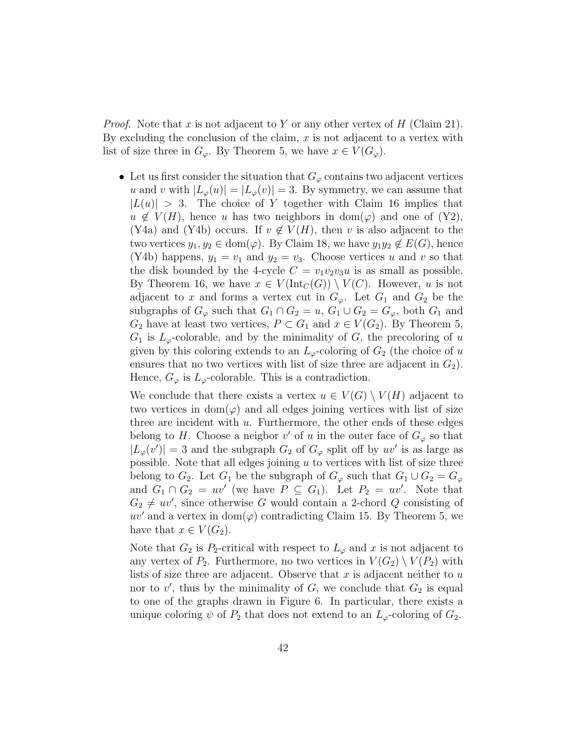*Proof.* Note that x is not adjacent to Y or any other vertex of H (Claim 21). By excluding the conclusion of the claim,  $x$  is not adjacent to a vertex with list of size three in  $G_{\varphi}$ . By Theorem 5, we have  $x \in V(G_{\varphi})$ .

• Let us first consider the situation that  $G_{\varphi}$  contains two adjacent vertices u and v with  $|L_{\varphi}(u)| = |L_{\varphi}(v)| = 3$ . By symmetry, we can assume that  $|L(u)| > 3$ . The choice of Y together with Claim 16 implies that  $u \notin V(H)$ , hence u has two neighbors in dom( $\varphi$ ) and one of (Y2), (Y4a) and (Y4b) occurs. If  $v \notin V(H)$ , then v is also adjacent to the two vertices  $y_1, y_2 \in \text{dom}(\varphi)$ . By Claim 18, we have  $y_1y_2 \notin E(G)$ , hence (Y4b) happens,  $y_1 = v_1$  and  $y_2 = v_3$ . Choose vertices u and v so that the disk bounded by the 4-cycle  $C = v_1v_2v_3u$  is as small as possible. By Theorem 16, we have  $x \in V(\text{Int}_C(G)) \setminus V(C)$ . However, u is not adjacent to x and forms a vertex cut in  $G_{\varphi}$ . Let  $G_1$  and  $G_2$  be the subgraphs of  $G_{\varphi}$  such that  $G_1 \cap G_2 = u$ ,  $G_1 \cup G_2 = G_{\varphi}$ , both  $G_1$  and  $G_2$  have at least two vertices,  $P \subset G_1$  and  $x \in V(G_2)$ . By Theorem 5,  $G_1$  is  $L_{\varphi}$ -colorable, and by the minimality of G, the precoloring of u given by this coloring extends to an  $L_{\varphi}$ -coloring of  $G_2$  (the choice of u ensures that no two vertices with list of size three are adjacent in  $G_2$ ). Hence,  $G_{\varphi}$  is  $L_{\varphi}$ -colorable. This is a contradiction.

We conclude that there exists a vertex  $u \in V(G) \setminus V(H)$  adjacent to two vertices in  $dom(\varphi)$  and all edges joining vertices with list of size three are incident with  $u$ . Furthermore, the other ends of these edges belong to H. Choose a neigbor  $v'$  of u in the outer face of  $G_{\varphi}$  so that  $|L_{\varphi}(v')|=3$  and the subgraph  $G_2$  of  $G_{\varphi}$  split off by  $uv'$  is as large as possible. Note that all edges joining  $u$  to vertices with list of size three belong to  $G_2$ . Let  $G_1$  be the subgraph of  $G_{\varphi}$  such that  $G_1 \cup G_2 = G_{\varphi}$ and  $G_1 \cap G_2 = uv'$  (we have  $P \subseteq G_1$ ). Let  $P_2 = uv'$ . Note that  $G_2 \neq uv'$ , since otherwise G would contain a 2-chord Q consisting of  $uv'$  and a vertex in dom $(\varphi)$  contradicting Claim 15. By Theorem 5, we have that  $x \in V(G_2)$ .

Note that  $G_2$  is  $P_2$ -critical with respect to  $L_{\varphi}$  and x is not adjacent to any vertex of  $P_2$ . Furthermore, no two vertices in  $V(G_2) \setminus V(P_2)$  with lists of size three are adjacent. Observe that  $x$  is adjacent neither to  $u$ nor to  $v'$ , thus by the minimality of  $G$ , we conclude that  $G_2$  is equal to one of the graphs drawn in Figure 6. In particular, there exists a unique coloring  $\psi$  of  $P_2$  that does not extend to an  $L_{\varphi}$ -coloring of  $G_2$ .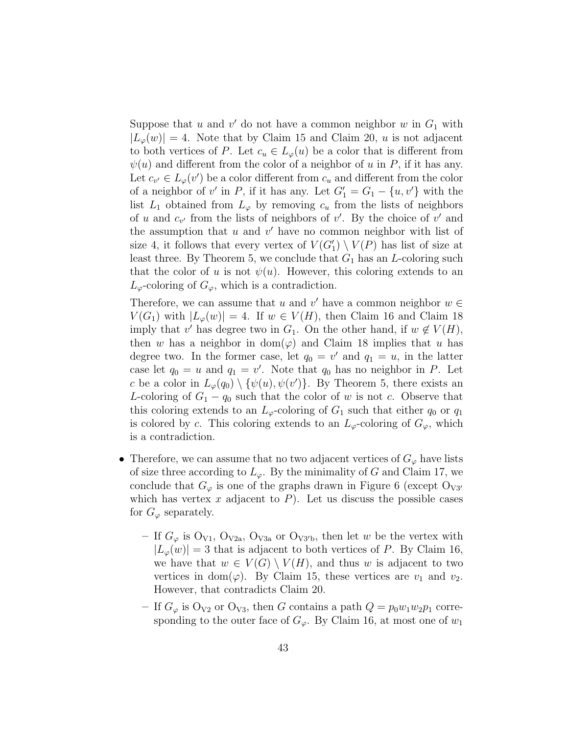Suppose that u and v' do not have a common neighbor w in  $G_1$  with  $|L_{\varphi}(w)| = 4$ . Note that by Claim 15 and Claim 20, u is not adjacent to both vertices of P. Let  $c_u \in L_{\varphi}(u)$  be a color that is different from  $\psi(u)$  and different from the color of a neighbor of u in P, if it has any. Let  $c_{v'} \in L_{\varphi}(v')$  be a color different from  $c_u$  and different from the color of a neighbor of v' in P, if it has any. Let  $G_1' = G_1 - \{u, v'\}$  with the list  $L_1$  obtained from  $L_\varphi$  by removing  $c_u$  from the lists of neighbors of u and  $c_{v'}$  from the lists of neighbors of v'. By the choice of v' and the assumption that  $u$  and  $v'$  have no common neighbor with list of size 4, it follows that every vertex of  $V(G'_{1}) \setminus V(P)$  has list of size at least three. By Theorem 5, we conclude that  $G_1$  has an L-coloring such that the color of u is not  $\psi(u)$ . However, this coloring extends to an  $L_{\varphi}$ -coloring of  $G_{\varphi}$ , which is a contradiction.

Therefore, we can assume that u and v' have a common neighbor  $w \in$  $V(G_1)$  with  $|L_{\varphi}(w)| = 4$ . If  $w \in V(H)$ , then Claim 16 and Claim 18 imply that v' has degree two in  $G_1$ . On the other hand, if  $w \notin V(H)$ , then w has a neighbor in dom $(\varphi)$  and Claim 18 implies that u has degree two. In the former case, let  $q_0 = v'$  and  $q_1 = u$ , in the latter case let  $q_0 = u$  and  $q_1 = v'$ . Note that  $q_0$  has no neighbor in P. Let c be a color in  $L_{\varphi}(q_0) \setminus {\{\psi(u), \psi(v')\}}$ . By Theorem 5, there exists an L-coloring of  $G_1 - q_0$  such that the color of w is not c. Observe that this coloring extends to an  $L_{\varphi}$ -coloring of  $G_1$  such that either  $q_0$  or  $q_1$ is colored by c. This coloring extends to an  $L_{\varphi}$ -coloring of  $G_{\varphi}$ , which is a contradiction.

- Therefore, we can assume that no two adjacent vertices of  $G_{\varphi}$  have lists of size three according to  $L_{\varphi}$ . By the minimality of G and Claim 17, we conclude that  $G_{\varphi}$  is one of the graphs drawn in Figure 6 (except  $O_{V3'}$ ) which has vertex x adjacent to  $P$ ). Let us discuss the possible cases for  $G_{\varphi}$  separately.
	- If  $G_{\varphi}$  is  $O_{V1}$ ,  $O_{V2a}$ ,  $O_{V3a}$  or  $O_{V3'b}$ , then let w be the vertex with  $|L_{\varphi}(w)| = 3$  that is adjacent to both vertices of P. By Claim 16, we have that  $w \in V(G) \setminus V(H)$ , and thus w is adjacent to two vertices in dom( $\varphi$ ). By Claim 15, these vertices are  $v_1$  and  $v_2$ . However, that contradicts Claim 20.
	- If  $G_{\varphi}$  is  $O_{V2}$  or  $O_{V3}$ , then G contains a path  $Q = p_0w_1w_2p_1$  corresponding to the outer face of  $G_{\varphi}$ . By Claim 16, at most one of  $w_1$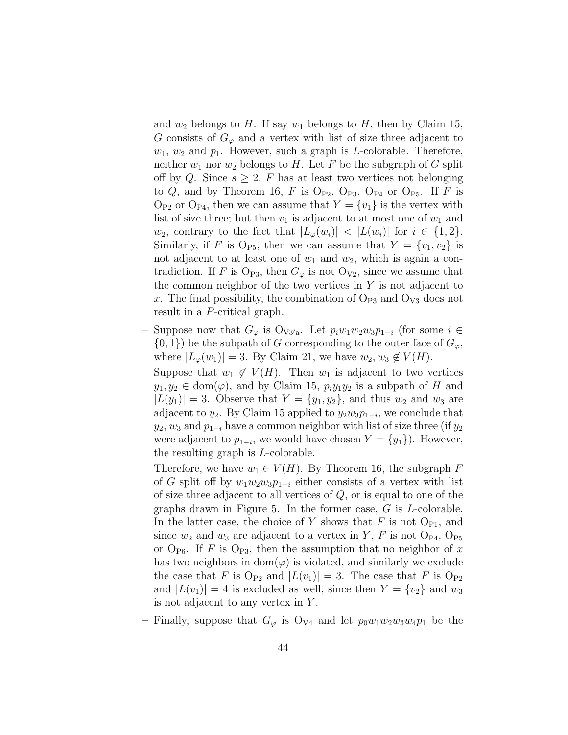and  $w_2$  belongs to H. If say  $w_1$  belongs to H, then by Claim 15, G consists of  $G_{\varphi}$  and a vertex with list of size three adjacent to  $w_1, w_2$  and  $p_1$ . However, such a graph is *L*-colorable. Therefore, neither  $w_1$  nor  $w_2$  belongs to H. Let F be the subgraph of G split off by Q. Since  $s \geq 2$ , F has at least two vertices not belonging to  $Q$ , and by Theorem 16, F is  $O_{P2}$ ,  $O_{P3}$ ,  $O_{P4}$  or  $O_{P5}$ . If F is  $O_{P2}$  or  $O_{P4}$ , then we can assume that  $Y = \{v_1\}$  is the vertex with list of size three; but then  $v_1$  is adjacent to at most one of  $w_1$  and  $w_2$ , contrary to the fact that  $|L_{\varphi}(w_i)| < |L(w_i)|$  for  $i \in \{1,2\}$ . Similarly, if F is O<sub>P5</sub>, then we can assume that  $Y = \{v_1, v_2\}$  is not adjacent to at least one of  $w_1$  and  $w_2$ , which is again a contradiction. If F is  $\mathcal{O}_{P3}$ , then  $G_{\varphi}$  is not  $\mathcal{O}_{V2}$ , since we assume that the common neighbor of the two vertices in  $Y$  is not adjacent to x. The final possibility, the combination of  $\mathrm{O}_{P3}$  and  $\mathrm{O}_{V3}$  does not result in a P-critical graph.

– Suppose now that  $G_{\varphi}$  is  $O_{V3'a}$ . Let  $p_iw_1w_2w_3p_{1-i}$  (for some  $i \in$  $\{0,1\}$  be the subpath of G corresponding to the outer face of  $G_{\varphi}$ , where  $|L_{\varphi}(w_1)| = 3$ . By Claim 21, we have  $w_2, w_3 \notin V(H)$ . Suppose that  $w_1 \notin V(H)$ . Then  $w_1$  is adjacent to two vertices  $y_1, y_2 \in \text{dom}(\varphi)$ , and by Claim 15,  $p_i y_1 y_2$  is a subpath of H and  $|L(y_1)| = 3$ . Observe that  $Y = \{y_1, y_2\}$ , and thus  $w_2$  and  $w_3$  are

adjacent to  $y_2$ . By Claim 15 applied to  $y_2w_3p_{1-i}$ , we conclude that  $y_2, w_3$  and  $p_{1-i}$  have a common neighbor with list of size three (if  $y_2$ ) were adjacent to  $p_{1-i}$ , we would have chosen  $Y = \{y_1\}$ ). However, the resulting graph is L-colorable.

Therefore, we have  $w_1 \in V(H)$ . By Theorem 16, the subgraph F of G split off by  $w_1w_2w_3p_{1-i}$  either consists of a vertex with list of size three adjacent to all vertices of  $Q$ , or is equal to one of the graphs drawn in Figure 5. In the former case, G is L-colorable. In the latter case, the choice of Y shows that F is not  $O_{P1}$ , and since  $w_2$  and  $w_3$  are adjacent to a vertex in Y, F is not  $O_{P4}$ ,  $O_{P5}$ or  $\mathrm{O}_{\mathrm{P6}}$ . If F is  $\mathrm{O}_{\mathrm{P3}}$ , then the assumption that no neighbor of x has two neighbors in  $dom(\varphi)$  is violated, and similarly we exclude the case that F is  $O_{P2}$  and  $|L(v_1)| = 3$ . The case that F is  $O_{P2}$ and  $|L(v_1)| = 4$  is excluded as well, since then  $Y = \{v_2\}$  and  $w_3$ is not adjacent to any vertex in  $Y$ .

– Finally, suppose that  $G_{\varphi}$  is  $O_{V4}$  and let  $p_0w_1w_2w_3w_4p_1$  be the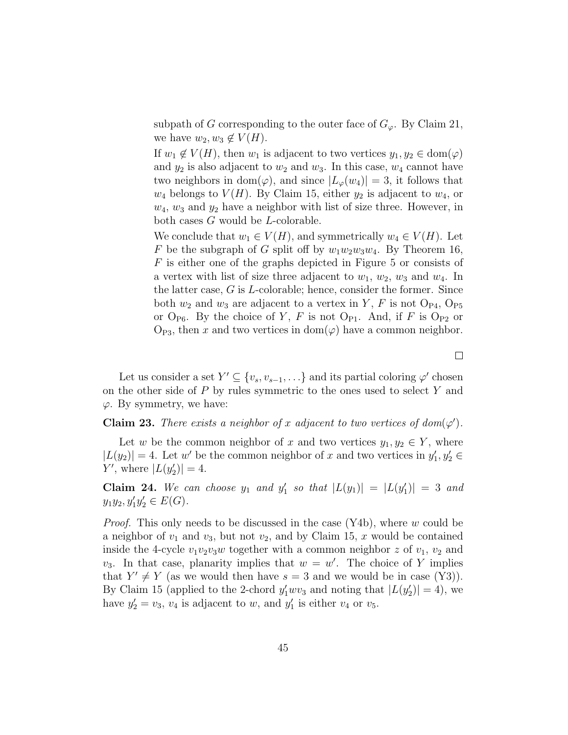subpath of G corresponding to the outer face of  $G_{\varphi}$ . By Claim 21, we have  $w_2, w_3 \notin V(H)$ .

If  $w_1 \notin V(H)$ , then  $w_1$  is adjacent to two vertices  $y_1, y_2 \in \text{dom}(\varphi)$ and  $y_2$  is also adjacent to  $w_2$  and  $w_3$ . In this case,  $w_4$  cannot have two neighbors in dom $(\varphi)$ , and since  $|L_{\varphi}(w_4)| = 3$ , it follows that  $w_4$  belongs to  $V(H)$ . By Claim 15, either  $y_2$  is adjacent to  $w_4$ , or  $w_4$ ,  $w_3$  and  $y_2$  have a neighbor with list of size three. However, in both cases G would be L-colorable.

We conclude that  $w_1 \in V(H)$ , and symmetrically  $w_4 \in V(H)$ . Let F be the subgraph of G split off by  $w_1w_2w_3w_4$ . By Theorem 16, F is either one of the graphs depicted in Figure 5 or consists of a vertex with list of size three adjacent to  $w_1, w_2, w_3$  and  $w_4$ . In the latter case,  $G$  is  $L$ -colorable; hence, consider the former. Since both  $w_2$  and  $w_3$  are adjacent to a vertex in Y, F is not  $O_{P4}$ ,  $O_{P5}$ or  $O_{\text{P6}}$ . By the choice of Y, F is not  $O_{\text{P1}}$ . And, if F is  $O_{\text{P2}}$  or  $O_{P3}$ , then x and two vertices in  $dom(\varphi)$  have a common neighbor.

Let us consider a set  $Y' \subseteq \{v_s, v_{s-1}, \ldots\}$  and its partial coloring  $\varphi'$  chosen on the other side of  $P$  by rules symmetric to the ones used to select  $Y$  and  $\varphi$ . By symmetry, we have:

### **Claim 23.** There exists a neighbor of x adjacent to two vertices of  $dom(\varphi')$ .

Let w be the common neighbor of x and two vertices  $y_1, y_2 \in Y$ , where  $|L(y_2)| = 4$ . Let w' be the common neighbor of x and two vertices in  $y'_1, y'_2 \in$  $Y'$ , where  $|L(y_2')| = 4$ .

Claim 24. We can choose  $y_1$  and  $y'_1$  so that  $|L(y_1)| = |L(y'_1)| = 3$  and  $y_1y_2, y_1'y_2' \in E(G)$ .

*Proof.* This only needs to be discussed in the case  $(Y4b)$ , where w could be a neighbor of  $v_1$  and  $v_3$ , but not  $v_2$ , and by Claim 15, x would be contained inside the 4-cycle  $v_1v_2v_3w$  together with a common neighbor z of  $v_1, v_2$  and  $v_3$ . In that case, planarity implies that  $w = w'$ . The choice of Y implies that  $Y' \neq Y$  (as we would then have  $s = 3$  and we would be in case (Y3)). By Claim 15 (applied to the 2-chord  $y'_1 w v_3$  and noting that  $|L(y'_2)| = 4$ ), we have  $y_2' = v_3$ ,  $v_4$  is adjacent to w, and  $y_1'$  is either  $v_4$  or  $v_5$ .

 $\Box$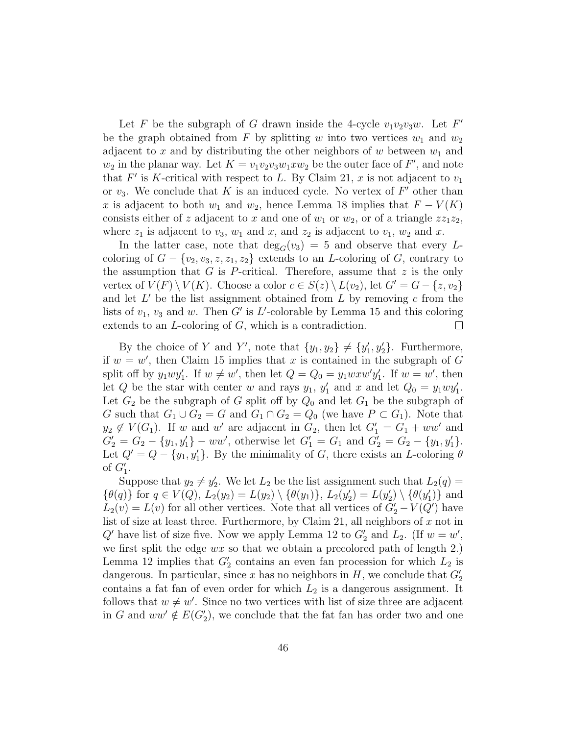Let F be the subgraph of G drawn inside the 4-cycle  $v_1v_2v_3w$ . Let F' be the graph obtained from F by splitting w into two vertices  $w_1$  and  $w_2$ adjacent to  $x$  and by distributing the other neighbors of  $w$  between  $w_1$  and  $w_2$  in the planar way. Let  $K = v_1v_2v_3w_1xw_2$  be the outer face of  $F'$ , and note that  $F'$  is K-critical with respect to L. By Claim 21, x is not adjacent to  $v_1$ or  $v_3$ . We conclude that K is an induced cycle. No vertex of  $F'$  other than x is adjacent to both  $w_1$  and  $w_2$ , hence Lemma 18 implies that  $F - V(K)$ consists either of z adjacent to x and one of  $w_1$  or  $w_2$ , or of a triangle  $zz_1z_2$ , where  $z_1$  is adjacent to  $v_3$ ,  $w_1$  and  $x$ , and  $z_2$  is adjacent to  $v_1$ ,  $w_2$  and  $x$ .

In the latter case, note that  $deg_G(v_3) = 5$  and observe that every Lcoloring of  $G - \{v_2, v_3, z, z_1, z_2\}$  extends to an L-coloring of G, contrary to the assumption that G is P-critical. Therefore, assume that  $z$  is the only vertex of  $V(F) \setminus V(K)$ . Choose a color  $c \in S(z) \setminus L(v_2)$ , let  $G' = G - \{z, v_2\}$ and let  $L'$  be the list assignment obtained from  $L$  by removing  $c$  from the lists of  $v_1$ ,  $v_3$  and w. Then G' is L'-colorable by Lemma 15 and this coloring extends to an L-coloring of G, which is a contradiction.  $\Box$ 

By the choice of Y and Y', note that  $\{y_1, y_2\} \neq \{y'_1, y'_2\}$ . Furthermore, if  $w = w'$ , then Claim 15 implies that x is contained in the subgraph of G split off by  $y_1wy'_1$ . If  $w \neq w'$ , then let  $Q = Q_0 = y_1w x w'y'_1$ . If  $w = w'$ , then let Q be the star with center w and rays  $y_1$ ,  $y'_1$  and x and let  $Q_0 = y_1 w y'_1$ . Let  $G_2$  be the subgraph of G split off by  $Q_0$  and let  $G_1$  be the subgraph of G such that  $G_1 \cup G_2 = G$  and  $G_1 \cap G_2 = Q_0$  (we have  $P \subset G_1$ ). Note that  $y_2 \notin V(G_1)$ . If w and w' are adjacent in  $G_2$ , then let  $G_1' = G_1 + ww'$  and  $G_2' = G_2 - \{y_1, y_1'\} - ww'$ , otherwise let  $G_1' = G_1$  and  $G_2' = G_2 - \{y_1, y_1'\}$ . Let  $Q' = Q - \{y_1, y_1'\}$ . By the minimality of G, there exists an L-coloring  $\theta$ of  $G_1'$ .

Suppose that  $y_2 \neq y_2'$ . We let  $L_2$  be the list assignment such that  $L_2(q)$  =  $\{\theta(q)\}\$ for  $q \in V(Q)$ ,  $L_2(y_2) = L(y_2) \setminus \{\theta(y_1)\}, L_2(y_2') = L(y_2') \setminus \{\theta(y_1')\}\$ and  $L_2(v) = L(v)$  for all other vertices. Note that all vertices of  $G'_2 - V(Q')$  have list of size at least three. Furthermore, by Claim 21, all neighbors of  $x$  not in  $Q'$  have list of size five. Now we apply Lemma 12 to  $G'_2$  and  $L_2$ . (If  $w = w'$ , we first split the edge  $wx$  so that we obtain a precolored path of length 2.) Lemma 12 implies that  $G_2'$  contains an even fan procession for which  $L_2$  is dangerous. In particular, since x has no neighbors in  $H$ , we conclude that  $G_2'$ contains a fat fan of even order for which  $L_2$  is a dangerous assignment. It follows that  $w \neq w'$ . Since no two vertices with list of size three are adjacent in G and  $ww' \notin E(G_2')$ , we conclude that the fat fan has order two and one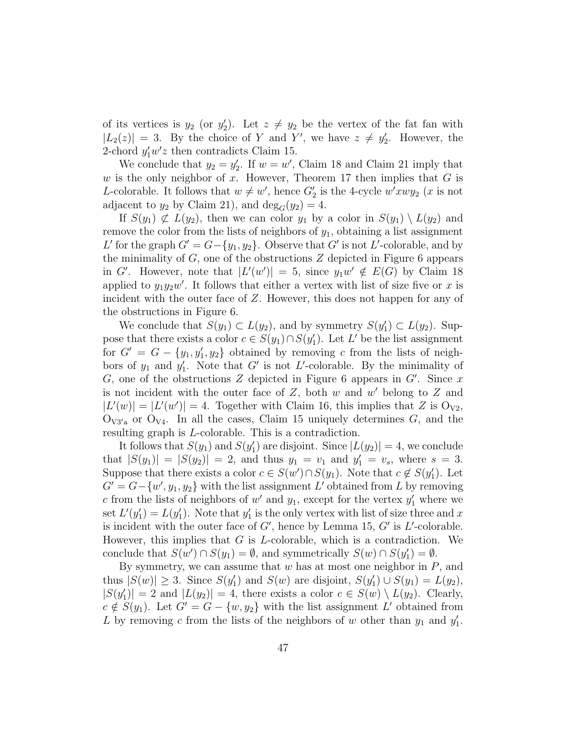of its vertices is  $y_2$  (or  $y_2'$ ). Let  $z \neq y_2$  be the vertex of the fat fan with  $|L_2(z)| = 3$ . By the choice of Y and Y', we have  $z \neq y'_2$ . However, the 2-chord  $y'_1w'z$  then contradicts Claim 15.

We conclude that  $y_2 = y'_2$ . If  $w = w'$ , Claim 18 and Claim 21 imply that w is the only neighbor of x. However, Theorem 17 then implies that  $G$  is *L*-colorable. It follows that  $w \neq w'$ , hence  $G'_2$  is the 4-cycle  $w'xwy_2$  (*x* is not adjacent to  $y_2$  by Claim 21), and  $\deg_G(y_2) = 4$ .

If  $S(y_1) \not\subset L(y_2)$ , then we can color  $y_1$  by a color in  $S(y_1) \setminus L(y_2)$  and remove the color from the lists of neighbors of  $y_1$ , obtaining a list assignment L' for the graph  $G' = G - \{y_1, y_2\}$ . Observe that G' is not L'-colorable, and by the minimality of  $G$ , one of the obstructions  $Z$  depicted in Figure 6 appears in G'. However, note that  $|L'(w')| = 5$ , since  $y_1w' \notin E(G)$  by Claim 18 applied to  $y_1 y_2 w'$ . It follows that either a vertex with list of size five or x is incident with the outer face of Z. However, this does not happen for any of the obstructions in Figure 6.

We conclude that  $S(y_1) \subset L(y_2)$ , and by symmetry  $S(y'_1) \subset L(y_2)$ . Suppose that there exists a color  $c \in S(y_1) \cap S(y'_1)$ . Let L' be the list assignment for  $G' = G - \{y_1, y_1', y_2\}$  obtained by removing c from the lists of neighbors of  $y_1$  and  $y'_1$ . Note that G' is not L'-colorable. By the minimality of G, one of the obstructions Z depicted in Figure 6 appears in  $G'$ . Since x is not incident with the outer face of  $Z$ , both  $w$  and  $w'$  belong to  $Z$  and  $|L'(w)| = |L'(w')| = 4$ . Together with Claim 16, this implies that Z is O<sub>V2</sub>,  $O_{V3'a}$  or  $O_{V4}$ . In all the cases, Claim 15 uniquely determines G, and the resulting graph is L-colorable. This is a contradiction.

It follows that  $S(y_1)$  and  $S(y'_1)$  are disjoint. Since  $|L(y_2)| = 4$ , we conclude that  $|S(y_1)| = |S(y_2)| = 2$ , and thus  $y_1 = v_1$  and  $y'_1 = v_s$ , where  $s = 3$ . Suppose that there exists a color  $c \in S(w') \cap S(y_1)$ . Note that  $c \notin S(y'_1)$ . Let  $G' = G - \{w', y_1, y_2\}$  with the list assignment L' obtained from L by removing c from the lists of neighbors of  $w'$  and  $y_1$ , except for the vertex  $y'_1$  where we set  $L'(y_1') = L(y_1')$ . Note that  $y_1'$  is the only vertex with list of size three and x is incident with the outer face of  $G'$ , hence by Lemma 15,  $G'$  is  $L'$ -colorable. However, this implies that  $G$  is  $L$ -colorable, which is a contradiction. We conclude that  $S(w') \cap S(y_1) = \emptyset$ , and symmetrically  $S(w) \cap S(y'_1) = \emptyset$ .

By symmetry, we can assume that  $w$  has at most one neighbor in  $P$ , and thus  $|S(w)| \ge 3$ . Since  $S(y_1')$  and  $S(w)$  are disjoint,  $S(y_1') \cup S(y_1) = L(y_2)$ ,  $|S(y_1')| = 2$  and  $|L(y_2)| = 4$ , there exists a color  $c \in S(w) \setminus L(y_2)$ . Clearly,  $c \notin S(y_1)$ . Let  $G' = G - \{w, y_2\}$  with the list assignment L' obtained from L by removing c from the lists of the neighbors of w other than  $y_1$  and  $y'_1$ .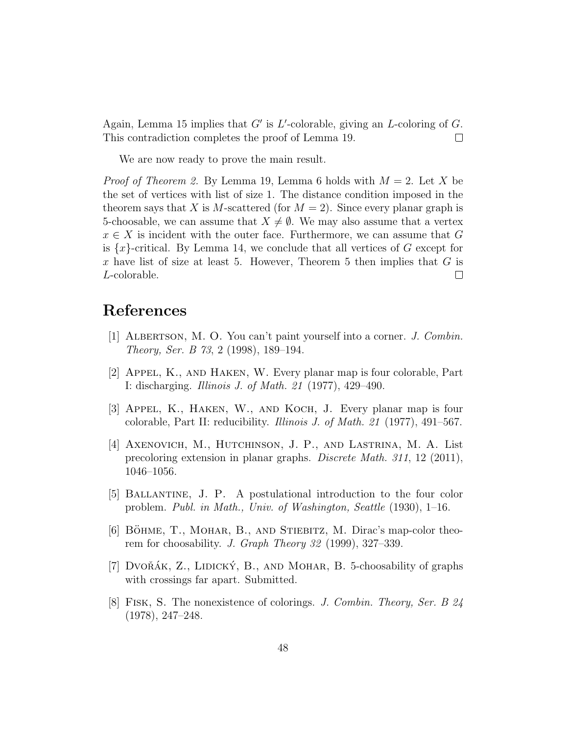Again, Lemma 15 implies that  $G'$  is L'-colorable, giving an L-coloring of  $G$ . This contradiction completes the proof of Lemma 19.  $\Box$ 

We are now ready to prove the main result.

*Proof of Theorem 2.* By Lemma 19, Lemma 6 holds with  $M = 2$ . Let X be the set of vertices with list of size 1. The distance condition imposed in the theorem says that X is M-scattered (for  $M = 2$ ). Since every planar graph is 5-choosable, we can assume that  $X \neq \emptyset$ . We may also assume that a vertex  $x \in X$  is incident with the outer face. Furthermore, we can assume that G is  $\{x\}$ -critical. By Lemma 14, we conclude that all vertices of G except for x have list of size at least 5. However, Theorem 5 then implies that  $G$  is L-colorable.  $\Box$ 

# References

- [1] ALBERTSON, M. O. You can't paint yourself into a corner. J. Combin. Theory, Ser. B 73, 2 (1998), 189–194.
- [2] Appel, K., and Haken, W. Every planar map is four colorable, Part I: discharging. Illinois J. of Math. 21 (1977), 429–490.
- [3] Appel, K., Haken, W., and Koch, J. Every planar map is four colorable, Part II: reducibility. Illinois J. of Math. 21 (1977), 491–567.
- [4] Axenovich, M., Hutchinson, J. P., and Lastrina, M. A. List precoloring extension in planar graphs. Discrete Math. 311, 12 (2011), 1046–1056.
- [5] Ballantine, J. P. A postulational introduction to the four color problem. Publ. in Math., Univ. of Washington, Seattle (1930), 1–16.
- [6] BÖHME, T., MOHAR, B., AND STIEBITZ, M. Dirac's map-color theorem for choosability. J. Graph Theory 32 (1999), 327–339.
- [7] DVOŘÁK,  $Z$ ., LIDICKÝ, B., AND MOHAR, B. 5-choosability of graphs with crossings far apart. Submitted.
- [8] Fisk, S. The nonexistence of colorings. J. Combin. Theory, Ser. B 24 (1978), 247–248.